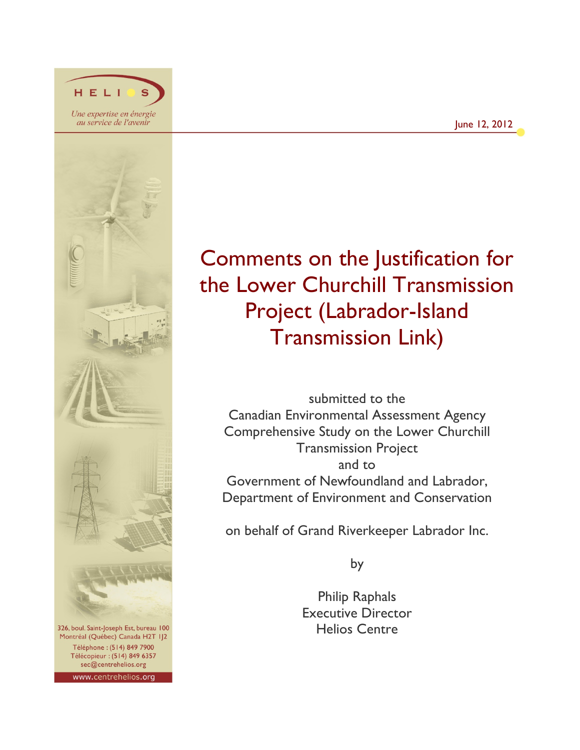

HELI

Montréal (Québec) Canada H2T IJ2 Téléphone : (514) 849 7900 Télécopieur : (514) 849 6357 sec@centrehelios.org www.centrehelios.org

# Comments on the Justification for the Lower Churchill Transmission Project (Labrador-Island Transmission Link)

submitted to the Canadian Environmental Assessment Agency Comprehensive Study on the Lower Churchill Transmission Project and to Government of Newfoundland and Labrador, Department of Environment and Conservation

on behalf of Grand Riverkeeper Labrador Inc.

by

Philip Raphals Executive Director Helios Centre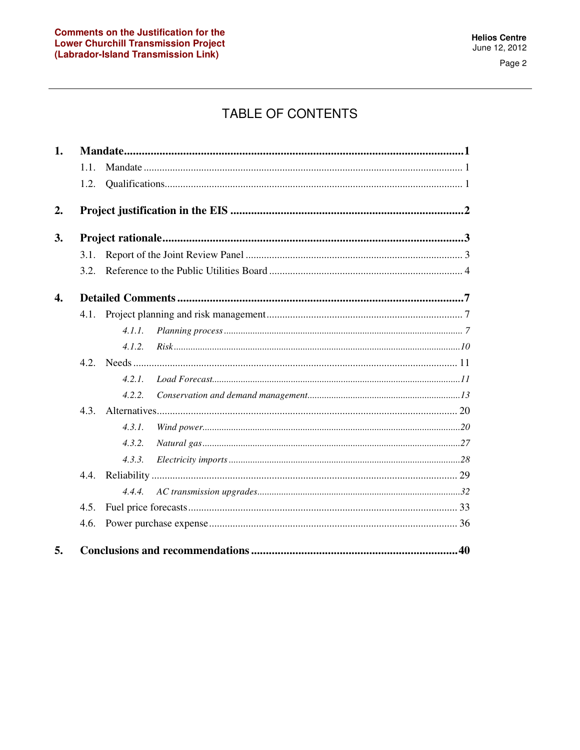# **TABLE OF CONTENTS**

| 1.               |      |        |  |  |  |  |  |  |
|------------------|------|--------|--|--|--|--|--|--|
|                  | 1.1. |        |  |  |  |  |  |  |
|                  | 1.2. |        |  |  |  |  |  |  |
| 2.               |      |        |  |  |  |  |  |  |
| 3.               |      |        |  |  |  |  |  |  |
|                  | 3.1. |        |  |  |  |  |  |  |
|                  | 3.2. |        |  |  |  |  |  |  |
| $\overline{4}$ . |      |        |  |  |  |  |  |  |
|                  | 4.1. |        |  |  |  |  |  |  |
|                  |      | 4.1.1. |  |  |  |  |  |  |
|                  |      | 4.1.2. |  |  |  |  |  |  |
|                  |      |        |  |  |  |  |  |  |
|                  |      | 4.2.1. |  |  |  |  |  |  |
|                  |      | 4.2.2. |  |  |  |  |  |  |
|                  | 4.3. |        |  |  |  |  |  |  |
|                  |      | 4.3.1. |  |  |  |  |  |  |
|                  |      | 4.3.2. |  |  |  |  |  |  |
|                  |      | 4.3.3. |  |  |  |  |  |  |
|                  |      |        |  |  |  |  |  |  |
|                  |      | 4.4.4. |  |  |  |  |  |  |
|                  | 4.5. |        |  |  |  |  |  |  |
|                  | 4.6. |        |  |  |  |  |  |  |
| 5.               |      |        |  |  |  |  |  |  |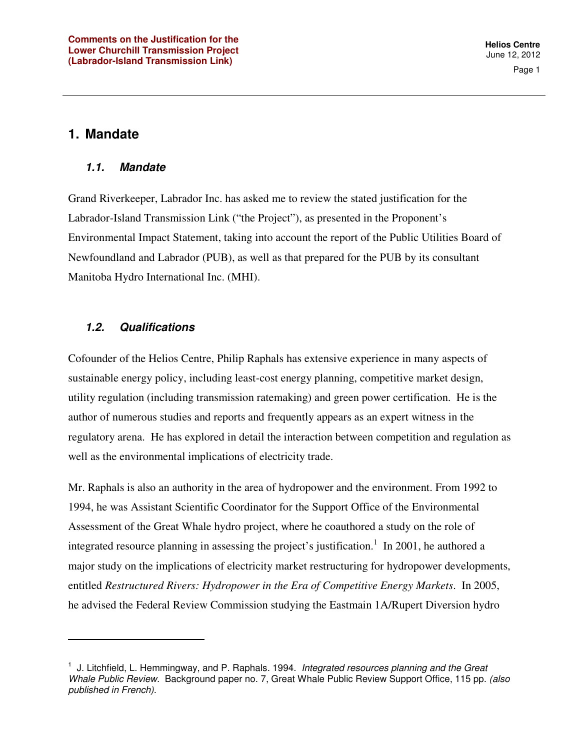Page 1

### **1. Mandate**

 $\overline{a}$ 

#### **1.1. Mandate**

Grand Riverkeeper, Labrador Inc. has asked me to review the stated justification for the Labrador-Island Transmission Link ("the Project"), as presented in the Proponent's Environmental Impact Statement, taking into account the report of the Public Utilities Board of Newfoundland and Labrador (PUB), as well as that prepared for the PUB by its consultant Manitoba Hydro International Inc. (MHI).

#### **1.2. Qualifications**

Cofounder of the Helios Centre, Philip Raphals has extensive experience in many aspects of sustainable energy policy, including least-cost energy planning, competitive market design, utility regulation (including transmission ratemaking) and green power certification. He is the author of numerous studies and reports and frequently appears as an expert witness in the regulatory arena. He has explored in detail the interaction between competition and regulation as well as the environmental implications of electricity trade.

Mr. Raphals is also an authority in the area of hydropower and the environment. From 1992 to 1994, he was Assistant Scientific Coordinator for the Support Office of the Environmental Assessment of the Great Whale hydro project, where he coauthored a study on the role of integrated resource planning in assessing the project's justification.<sup>1</sup> In 2001, he authored a major study on the implications of electricity market restructuring for hydropower developments, entitled *Restructured Rivers: Hydropower in the Era of Competitive Energy Markets*. In 2005, he advised the Federal Review Commission studying the Eastmain 1A/Rupert Diversion hydro

 $<sup>1</sup>$  J. Litchfield, L. Hemmingway, and P. Raphals. 1994. Integrated resources planning and the Great</sup> Whale Public Review. Background paper no. 7, Great Whale Public Review Support Office, 115 pp. (also published in French).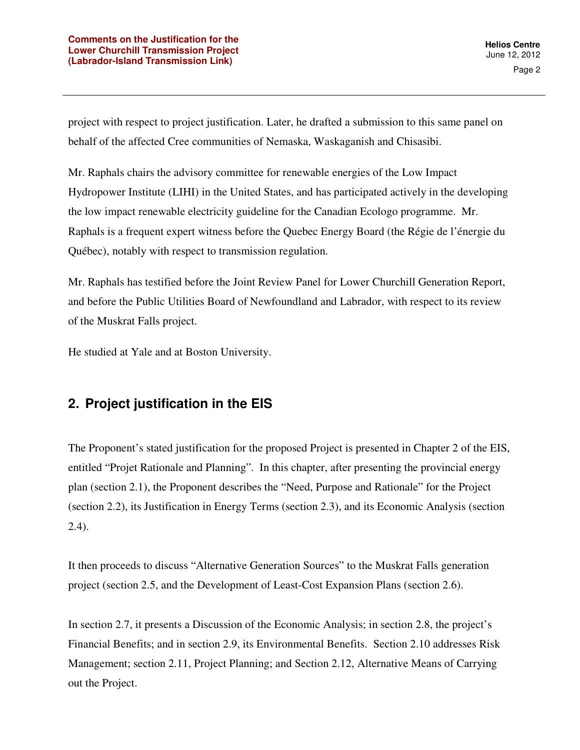project with respect to project justification. Later, he drafted a submission to this same panel on behalf of the affected Cree communities of Nemaska, Waskaganish and Chisasibi.

Mr. Raphals chairs the advisory committee for renewable energies of the Low Impact Hydropower Institute (LIHI) in the United States, and has participated actively in the developing the low impact renewable electricity guideline for the Canadian Ecologo programme. Mr. Raphals is a frequent expert witness before the Quebec Energy Board (the Régie de l'énergie du Québec), notably with respect to transmission regulation.

Mr. Raphals has testified before the Joint Review Panel for Lower Churchill Generation Report, and before the Public Utilities Board of Newfoundland and Labrador, with respect to its review of the Muskrat Falls project.

He studied at Yale and at Boston University.

# **2. Project justification in the EIS**

The Proponent's stated justification for the proposed Project is presented in Chapter 2 of the EIS, entitled "Projet Rationale and Planning". In this chapter, after presenting the provincial energy plan (section 2.1), the Proponent describes the "Need, Purpose and Rationale" for the Project (section 2.2), its Justification in Energy Terms (section 2.3), and its Economic Analysis (section 2.4).

It then proceeds to discuss "Alternative Generation Sources" to the Muskrat Falls generation project (section 2.5, and the Development of Least-Cost Expansion Plans (section 2.6).

In section 2.7, it presents a Discussion of the Economic Analysis; in section 2.8, the project's Financial Benefits; and in section 2.9, its Environmental Benefits. Section 2.10 addresses Risk Management; section 2.11, Project Planning; and Section 2.12, Alternative Means of Carrying out the Project.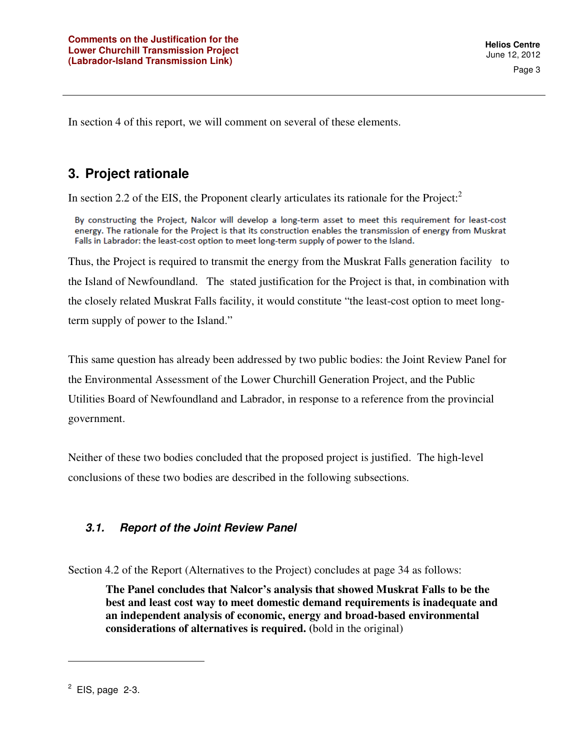In section 4 of this report, we will comment on several of these elements.

# **3. Project rationale**

In section 2.2 of the EIS, the Proponent clearly articulates its rationale for the Project: $<sup>2</sup>$ </sup>

By constructing the Project, Nalcor will develop a long-term asset to meet this requirement for least-cost energy. The rationale for the Project is that its construction enables the transmission of energy from Muskrat Falls in Labrador: the least-cost option to meet long-term supply of power to the Island.

Thus, the Project is required to transmit the energy from the Muskrat Falls generation facility to the Island of Newfoundland. The stated justification for the Project is that, in combination with the closely related Muskrat Falls facility, it would constitute "the least-cost option to meet longterm supply of power to the Island."

This same question has already been addressed by two public bodies: the Joint Review Panel for the Environmental Assessment of the Lower Churchill Generation Project, and the Public Utilities Board of Newfoundland and Labrador, in response to a reference from the provincial government.

Neither of these two bodies concluded that the proposed project is justified. The high-level conclusions of these two bodies are described in the following subsections.

## **3.1. Report of the Joint Review Panel**

Section 4.2 of the Report (Alternatives to the Project) concludes at page 34 as follows:

**The Panel concludes that Nalcor's analysis that showed Muskrat Falls to be the best and least cost way to meet domestic demand requirements is inadequate and an independent analysis of economic, energy and broad-based environmental considerations of alternatives is required. (**bold in the original)

 $2$  EIS, page 2-3.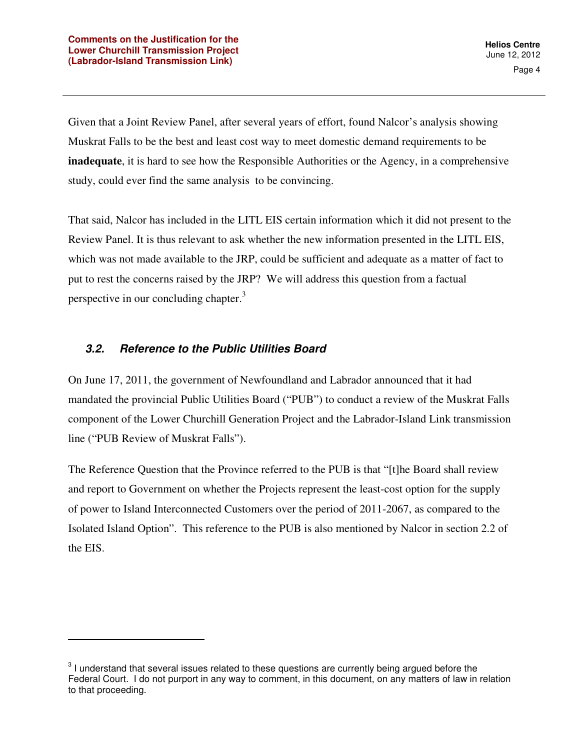Given that a Joint Review Panel, after several years of effort, found Nalcor's analysis showing Muskrat Falls to be the best and least cost way to meet domestic demand requirements to be **inadequate**, it is hard to see how the Responsible Authorities or the Agency, in a comprehensive study, could ever find the same analysis to be convincing.

That said, Nalcor has included in the LITL EIS certain information which it did not present to the Review Panel. It is thus relevant to ask whether the new information presented in the LITL EIS, which was not made available to the JRP, could be sufficient and adequate as a matter of fact to put to rest the concerns raised by the JRP? We will address this question from a factual perspective in our concluding chapter.<sup>3</sup>

### **3.2. Reference to the Public Utilities Board**

 $\overline{a}$ 

On June 17, 2011, the government of Newfoundland and Labrador announced that it had mandated the provincial Public Utilities Board ("PUB") to conduct a review of the Muskrat Falls component of the Lower Churchill Generation Project and the Labrador-Island Link transmission line ("PUB Review of Muskrat Falls").

The Reference Question that the Province referred to the PUB is that "[t]he Board shall review and report to Government on whether the Projects represent the least-cost option for the supply of power to Island Interconnected Customers over the period of 2011-2067, as compared to the Isolated Island Option". This reference to the PUB is also mentioned by Nalcor in section 2.2 of the EIS.

 $3$  I understand that several issues related to these questions are currently being argued before the Federal Court. I do not purport in any way to comment, in this document, on any matters of law in relation to that proceeding.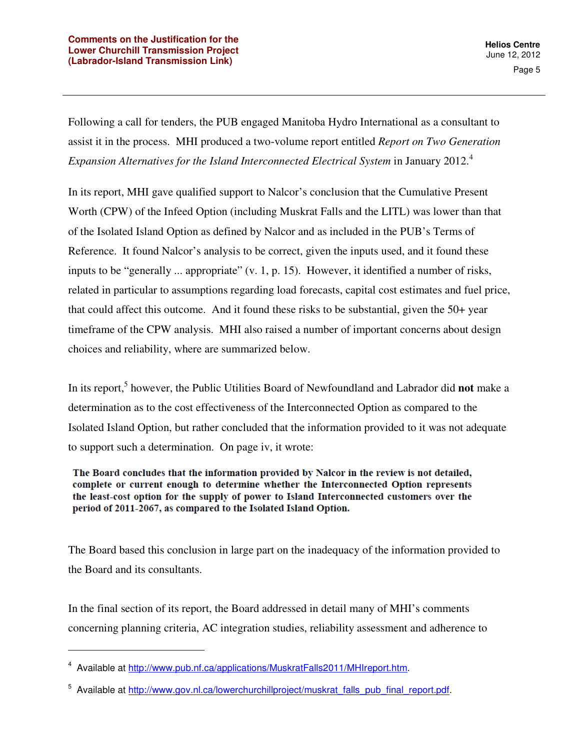Following a call for tenders, the PUB engaged Manitoba Hydro International as a consultant to assist it in the process. MHI produced a two-volume report entitled *Report on Two Generation Expansion Alternatives for the Island Interconnected Electrical System* in January 2012.<sup>4</sup>

In its report, MHI gave qualified support to Nalcor's conclusion that the Cumulative Present Worth (CPW) of the Infeed Option (including Muskrat Falls and the LITL) was lower than that of the Isolated Island Option as defined by Nalcor and as included in the PUB's Terms of Reference. It found Nalcor's analysis to be correct, given the inputs used, and it found these inputs to be "generally ... appropriate" (v. 1, p. 15). However, it identified a number of risks, related in particular to assumptions regarding load forecasts, capital cost estimates and fuel price, that could affect this outcome. And it found these risks to be substantial, given the 50+ year timeframe of the CPW analysis. MHI also raised a number of important concerns about design choices and reliability, where are summarized below.

In its report,<sup>5</sup> however, the Public Utilities Board of Newfoundland and Labrador did **not** make a determination as to the cost effectiveness of the Interconnected Option as compared to the Isolated Island Option, but rather concluded that the information provided to it was not adequate to support such a determination. On page iv, it wrote:

The Board concludes that the information provided by Nalcor in the review is not detailed, complete or current enough to determine whether the Interconnected Option represents the least-cost option for the supply of power to Island Interconnected customers over the period of 2011-2067, as compared to the Isolated Island Option.

The Board based this conclusion in large part on the inadequacy of the information provided to the Board and its consultants.

In the final section of its report, the Board addressed in detail many of MHI's comments concerning planning criteria, AC integration studies, reliability assessment and adherence to

<sup>&</sup>lt;sup>4</sup> Available at http://www.pub.nf.ca/applications/MuskratFalls2011/MHIreport.htm.

<sup>&</sup>lt;sup>5</sup> Available at http://www.gov.nl.ca/lowerchurchillproject/muskrat\_falls\_pub\_final\_report.pdf.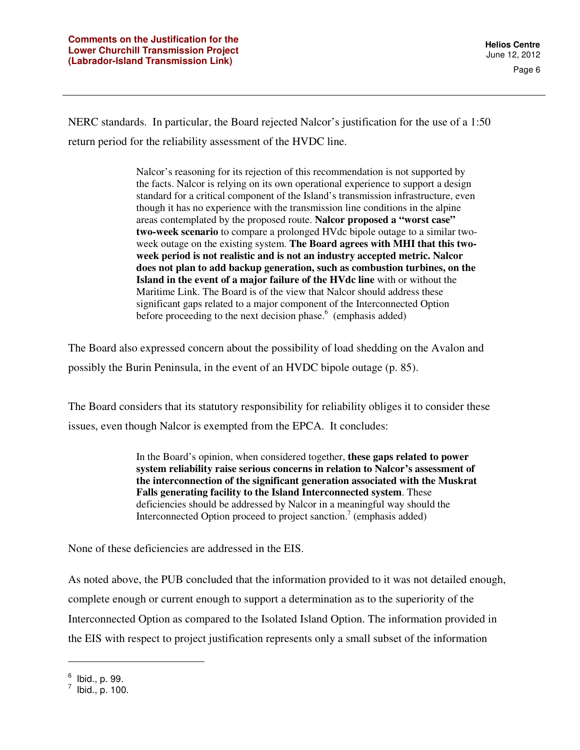NERC standards. In particular, the Board rejected Nalcor's justification for the use of a 1:50 return period for the reliability assessment of the HVDC line.

> Nalcor's reasoning for its rejection of this recommendation is not supported by the facts. Nalcor is relying on its own operational experience to support a design standard for a critical component of the Island's transmission infrastructure, even though it has no experience with the transmission line conditions in the alpine areas contemplated by the proposed route. **Nalcor proposed a "worst case" two-week scenario** to compare a prolonged HVdc bipole outage to a similar twoweek outage on the existing system. **The Board agrees with MHI that this twoweek period is not realistic and is not an industry accepted metric. Nalcor does not plan to add backup generation, such as combustion turbines, on the Island in the event of a major failure of the HVdc line** with or without the Maritime Link. The Board is of the view that Nalcor should address these significant gaps related to a major component of the Interconnected Option before proceeding to the next decision phase.<sup>6</sup> (emphasis added)

The Board also expressed concern about the possibility of load shedding on the Avalon and possibly the Burin Peninsula, in the event of an HVDC bipole outage (p. 85).

The Board considers that its statutory responsibility for reliability obliges it to consider these issues, even though Nalcor is exempted from the EPCA. It concludes:

> In the Board's opinion, when considered together, **these gaps related to power system reliability raise serious concerns in relation to Nalcor's assessment of the interconnection of the significant generation associated with the Muskrat Falls generating facility to the Island Interconnected system**. These deficiencies should be addressed by Nalcor in a meaningful way should the Interconnected Option proceed to project sanction.<sup>7</sup> (emphasis added)

None of these deficiencies are addressed in the EIS.

As noted above, the PUB concluded that the information provided to it was not detailed enough, complete enough or current enough to support a determination as to the superiority of the Interconnected Option as compared to the Isolated Island Option. The information provided in the EIS with respect to project justification represents only a small subset of the information

 $<sup>6</sup>$  Ibid., p. 99.</sup>

 $^7$  Ibid., p. 100.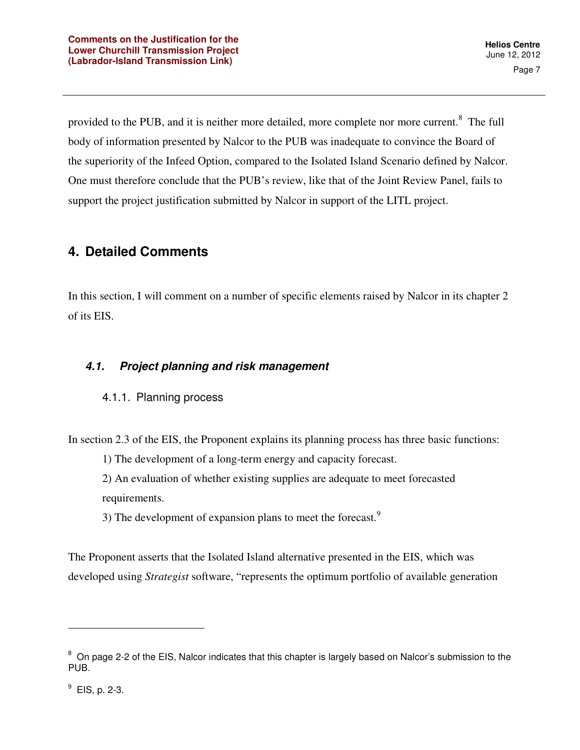provided to the PUB, and it is neither more detailed, more complete nor more current.<sup>8</sup> The full body of information presented by Nalcor to the PUB was inadequate to convince the Board of the superiority of the Infeed Option, compared to the Isolated Island Scenario defined by Nalcor. One must therefore conclude that the PUB's review, like that of the Joint Review Panel, fails to support the project justification submitted by Nalcor in support of the LITL project.

# **4. Detailed Comments**

In this section, I will comment on a number of specific elements raised by Nalcor in its chapter 2 of its EIS.

## **4.1. Project planning and risk management**

## 4.1.1. Planning process

In section 2.3 of the EIS, the Proponent explains its planning process has three basic functions:

1) The development of a long-term energy and capacity forecast.

2) An evaluation of whether existing supplies are adequate to meet forecasted requirements.

3) The development of expansion plans to meet the forecast.<sup>9</sup>

The Proponent asserts that the Isolated Island alternative presented in the EIS, which was developed using *Strategist* software, "represents the optimum portfolio of available generation

<sup>&</sup>lt;sup>8</sup> On page 2-2 of the EIS, Nalcor indicates that this chapter is largely based on Nalcor's submission to the PUB.

 $^9$  EIS, p. 2-3.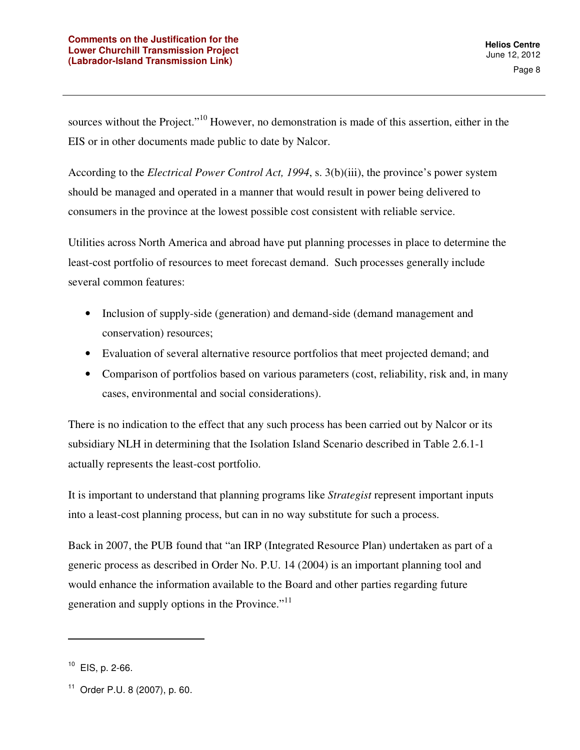sources without the Project."<sup>10</sup> However, no demonstration is made of this assertion, either in the EIS or in other documents made public to date by Nalcor.

According to the *Electrical Power Control Act, 1994*, s. 3(b)(iii), the province's power system should be managed and operated in a manner that would result in power being delivered to consumers in the province at the lowest possible cost consistent with reliable service.

Utilities across North America and abroad have put planning processes in place to determine the least-cost portfolio of resources to meet forecast demand. Such processes generally include several common features:

- Inclusion of supply-side (generation) and demand-side (demand management and conservation) resources;
- Evaluation of several alternative resource portfolios that meet projected demand; and
- Comparison of portfolios based on various parameters (cost, reliability, risk and, in many cases, environmental and social considerations).

There is no indication to the effect that any such process has been carried out by Nalcor or its subsidiary NLH in determining that the Isolation Island Scenario described in Table 2.6.1-1 actually represents the least-cost portfolio.

It is important to understand that planning programs like *Strategist* represent important inputs into a least-cost planning process, but can in no way substitute for such a process.

Back in 2007, the PUB found that "an IRP (Integrated Resource Plan) undertaken as part of a generic process as described in Order No. P.U. 14 (2004) is an important planning tool and would enhance the information available to the Board and other parties regarding future generation and supply options in the Province."<sup>11</sup>

 $10$  EIS, p. 2-66.

<sup>11</sup> Order P.U. 8 (2007), p. 60.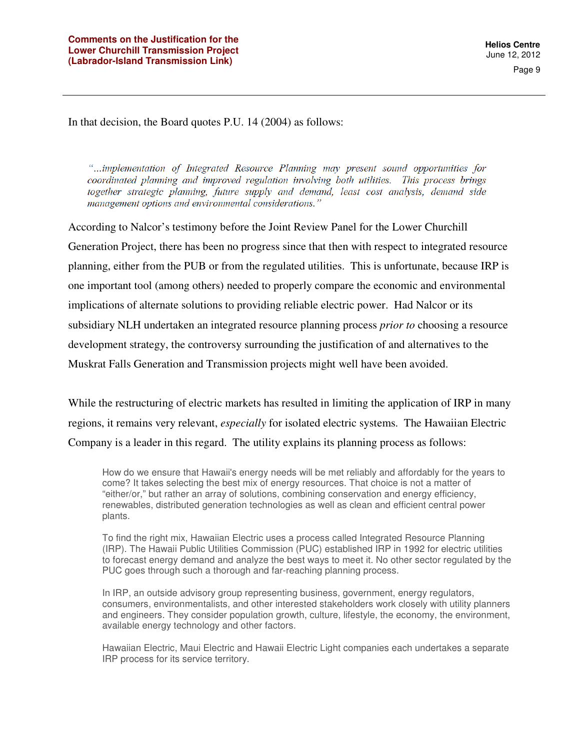In that decision, the Board quotes P.U. 14 (2004) as follows:

"...implementation of Integrated Resource Planning may present sound opportunities for coordinated planning and improved regulation involving both utilities. This process brings together strategic planning, future supply and demand, least cost analysis, demand side management options and environmental considerations."

According to Nalcor's testimony before the Joint Review Panel for the Lower Churchill Generation Project, there has been no progress since that then with respect to integrated resource planning, either from the PUB or from the regulated utilities. This is unfortunate, because IRP is one important tool (among others) needed to properly compare the economic and environmental implications of alternate solutions to providing reliable electric power. Had Nalcor or its subsidiary NLH undertaken an integrated resource planning process *prior to* choosing a resource development strategy, the controversy surrounding the justification of and alternatives to the Muskrat Falls Generation and Transmission projects might well have been avoided.

While the restructuring of electric markets has resulted in limiting the application of IRP in many regions, it remains very relevant, *especially* for isolated electric systems. The Hawaiian Electric Company is a leader in this regard. The utility explains its planning process as follows:

How do we ensure that Hawaii's energy needs will be met reliably and affordably for the years to come? It takes selecting the best mix of energy resources. That choice is not a matter of "either/or," but rather an array of solutions, combining conservation and energy efficiency, renewables, distributed generation technologies as well as clean and efficient central power plants.

To find the right mix, Hawaiian Electric uses a process called Integrated Resource Planning (IRP). The Hawaii Public Utilities Commission (PUC) established IRP in 1992 for electric utilities to forecast energy demand and analyze the best ways to meet it. No other sector regulated by the PUC goes through such a thorough and far-reaching planning process.

In IRP, an outside advisory group representing business, government, energy regulators, consumers, environmentalists, and other interested stakeholders work closely with utility planners and engineers. They consider population growth, culture, lifestyle, the economy, the environment, available energy technology and other factors.

Hawaiian Electric, Maui Electric and Hawaii Electric Light companies each undertakes a separate IRP process for its service territory.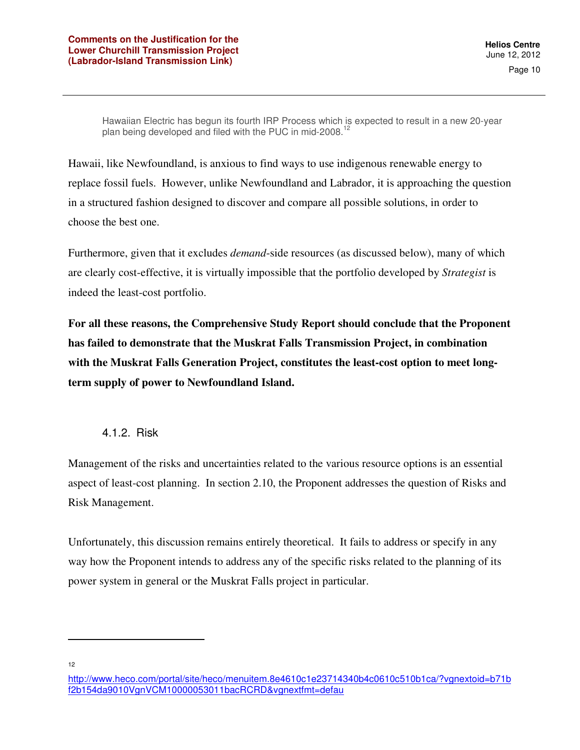Hawaiian Electric has begun its fourth IRP Process which is expected to result in a new 20-year plan being developed and filed with the PUC in mid-2008.<sup>1</sup>

Hawaii, like Newfoundland, is anxious to find ways to use indigenous renewable energy to replace fossil fuels. However, unlike Newfoundland and Labrador, it is approaching the question in a structured fashion designed to discover and compare all possible solutions, in order to choose the best one.

Furthermore, given that it excludes *demand*-side resources (as discussed below), many of which are clearly cost-effective, it is virtually impossible that the portfolio developed by *Strategist* is indeed the least-cost portfolio.

**For all these reasons, the Comprehensive Study Report should conclude that the Proponent has failed to demonstrate that the Muskrat Falls Transmission Project, in combination with the Muskrat Falls Generation Project, constitutes the least-cost option to meet longterm supply of power to Newfoundland Island.** 

#### 4.1.2. Risk

Management of the risks and uncertainties related to the various resource options is an essential aspect of least-cost planning. In section 2.10, the Proponent addresses the question of Risks and Risk Management.

Unfortunately, this discussion remains entirely theoretical. It fails to address or specify in any way how the Proponent intends to address any of the specific risks related to the planning of its power system in general or the Muskrat Falls project in particular.

12

http://www.heco.com/portal/site/heco/menuitem.8e4610c1e23714340b4c0610c510b1ca/?vgnextoid=b71b f2b154da9010VgnVCM10000053011bacRCRD&vgnextfmt=defau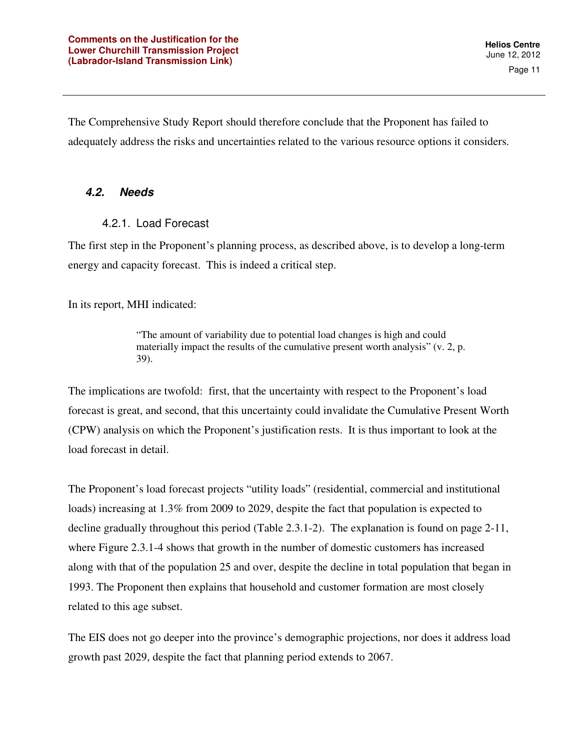Page 11

The Comprehensive Study Report should therefore conclude that the Proponent has failed to adequately address the risks and uncertainties related to the various resource options it considers.

#### **4.2. Needs**

#### 4.2.1. Load Forecast

The first step in the Proponent's planning process, as described above, is to develop a long-term energy and capacity forecast. This is indeed a critical step.

In its report, MHI indicated:

"The amount of variability due to potential load changes is high and could materially impact the results of the cumulative present worth analysis" (v. 2, p. 39).

The implications are twofold: first, that the uncertainty with respect to the Proponent's load forecast is great, and second, that this uncertainty could invalidate the Cumulative Present Worth (CPW) analysis on which the Proponent's justification rests. It is thus important to look at the load forecast in detail.

The Proponent's load forecast projects "utility loads" (residential, commercial and institutional loads) increasing at 1.3% from 2009 to 2029, despite the fact that population is expected to decline gradually throughout this period (Table 2.3.1-2). The explanation is found on page 2-11, where Figure 2.3.1-4 shows that growth in the number of domestic customers has increased along with that of the population 25 and over, despite the decline in total population that began in 1993. The Proponent then explains that household and customer formation are most closely related to this age subset.

The EIS does not go deeper into the province's demographic projections, nor does it address load growth past 2029, despite the fact that planning period extends to 2067.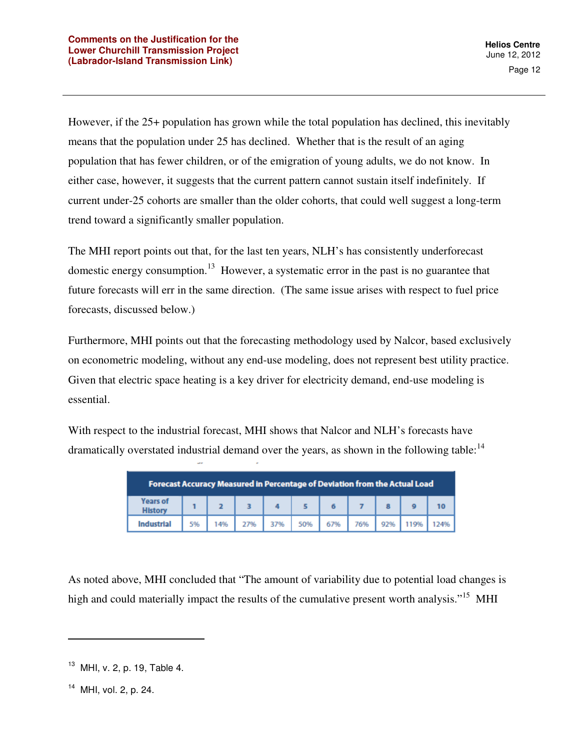However, if the 25+ population has grown while the total population has declined, this inevitably means that the population under 25 has declined. Whether that is the result of an aging population that has fewer children, or of the emigration of young adults, we do not know. In either case, however, it suggests that the current pattern cannot sustain itself indefinitely. If current under-25 cohorts are smaller than the older cohorts, that could well suggest a long-term trend toward a significantly smaller population.

The MHI report points out that, for the last ten years, NLH's has consistently underforecast domestic energy consumption.<sup>13</sup> However, a systematic error in the past is no guarantee that future forecasts will err in the same direction. (The same issue arises with respect to fuel price forecasts, discussed below.)

Furthermore, MHI points out that the forecasting methodology used by Nalcor, based exclusively on econometric modeling, without any end-use modeling, does not represent best utility practice. Given that electric space heating is a key driver for electricity demand, end-use modeling is essential.

With respect to the industrial forecast, MHI shows that Nalcor and NLH's forecasts have dramatically overstated industrial demand over the years, as shown in the following table:  $14$ 

|                                   | Forecast Accuracy Measured in Percentage of Deviation from the Actual Load |     |     |  |  |                                           |  |  |  |    |  |
|-----------------------------------|----------------------------------------------------------------------------|-----|-----|--|--|-------------------------------------------|--|--|--|----|--|
| <b>Years of</b><br><b>History</b> |                                                                            |     |     |  |  |                                           |  |  |  | 10 |  |
| Industrial                        | 5%                                                                         | 14% | 27% |  |  | 37%   50%   67%   76%   92%   119%   124% |  |  |  |    |  |

As noted above, MHI concluded that "The amount of variability due to potential load changes is high and could materially impact the results of the cumulative present worth analysis."<sup>15</sup> MHI

 $13$  MHI, v. 2, p. 19, Table 4.

<sup>&</sup>lt;sup>14</sup> MHI, vol. 2, p. 24.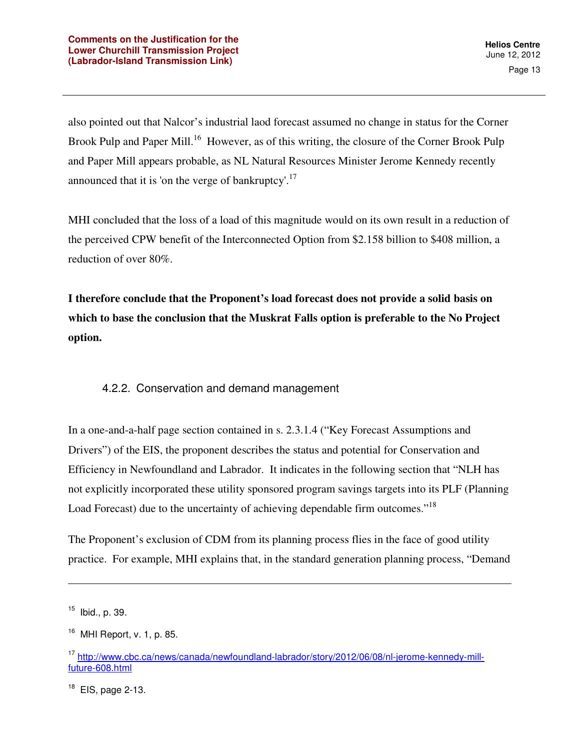also pointed out that Nalcor's industrial laod forecast assumed no change in status for the Corner Brook Pulp and Paper Mill.<sup>16</sup> However, as of this writing, the closure of the Corner Brook Pulp and Paper Mill appears probable, as NL Natural Resources Minister Jerome Kennedy recently announced that it is 'on the verge of bankruptcy'.<sup>17</sup>

MHI concluded that the loss of a load of this magnitude would on its own result in a reduction of the perceived CPW benefit of the Interconnected Option from \$2.158 billion to \$408 million, a reduction of over 80%.

**I therefore conclude that the Proponent's load forecast does not provide a solid basis on which to base the conclusion that the Muskrat Falls option is preferable to the No Project option.** 

#### 4.2.2. Conservation and demand management

In a one-and-a-half page section contained in s. 2.3.1.4 ("Key Forecast Assumptions and Drivers") of the EIS, the proponent describes the status and potential for Conservation and Efficiency in Newfoundland and Labrador. It indicates in the following section that "NLH has not explicitly incorporated these utility sponsored program savings targets into its PLF (Planning Load Forecast) due to the uncertainty of achieving dependable firm outcomes."<sup>18</sup>

The Proponent's exclusion of CDM from its planning process flies in the face of good utility practice. For example, MHI explains that, in the standard generation planning process, "Demand

 $15$  Ibid., p. 39.

 $16$  MHI Report, v. 1, p. 85.

<sup>17</sup> http://www.cbc.ca/news/canada/newfoundland-labrador/story/2012/06/08/nl-jerome-kennedy-millfuture-608.html

 $18$  EIS, page 2-13.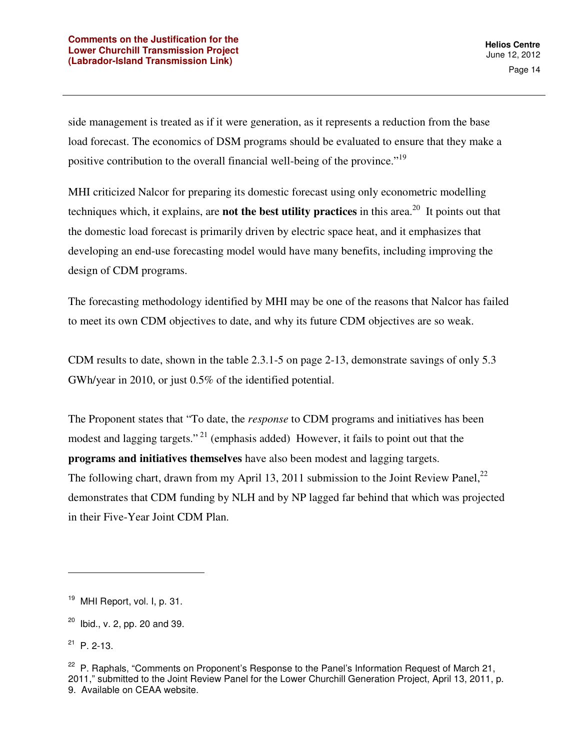side management is treated as if it were generation, as it represents a reduction from the base load forecast. The economics of DSM programs should be evaluated to ensure that they make a positive contribution to the overall financial well-being of the province."<sup>19</sup>

MHI criticized Nalcor for preparing its domestic forecast using only econometric modelling techniques which, it explains, are **not the best utility practices** in this area.<sup>20</sup> It points out that the domestic load forecast is primarily driven by electric space heat, and it emphasizes that developing an end-use forecasting model would have many benefits, including improving the design of CDM programs.

The forecasting methodology identified by MHI may be one of the reasons that Nalcor has failed to meet its own CDM objectives to date, and why its future CDM objectives are so weak.

CDM results to date, shown in the table 2.3.1-5 on page 2-13, demonstrate savings of only 5.3 GWh/year in 2010, or just 0.5% of the identified potential.

The Proponent states that "To date, the *response* to CDM programs and initiatives has been modest and lagging targets."<sup>21</sup> (emphasis added) However, it fails to point out that the **programs and initiatives themselves** have also been modest and lagging targets. The following chart, drawn from my April 13, 2011 submission to the Joint Review Panel, $^{22}$ demonstrates that CDM funding by NLH and by NP lagged far behind that which was projected in their Five-Year Joint CDM Plan.

<sup>&</sup>lt;sup>19</sup> MHI Report, vol. I, p. 31.

 $20$  Ibid., v. 2, pp. 20 and 39.

 $21$  P. 2-13.

<sup>&</sup>lt;sup>22</sup> P. Raphals, "Comments on Proponent's Response to the Panel's Information Request of March 21, 2011," submitted to the Joint Review Panel for the Lower Churchill Generation Project, April 13, 2011, p. 9. Available on CEAA website.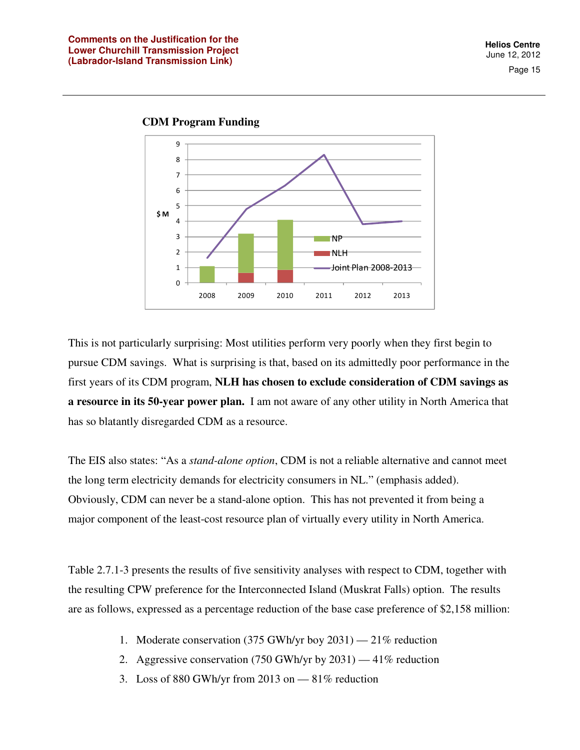Page 15





This is not particularly surprising: Most utilities perform very poorly when they first begin to pursue CDM savings. What is surprising is that, based on its admittedly poor performance in the first years of its CDM program, **NLH has chosen to exclude consideration of CDM savings as a resource in its 50-year power plan.** I am not aware of any other utility in North America that has so blatantly disregarded CDM as a resource.

The EIS also states: "As a *stand-alone option*, CDM is not a reliable alternative and cannot meet the long term electricity demands for electricity consumers in NL." (emphasis added). Obviously, CDM can never be a stand-alone option. This has not prevented it from being a major component of the least-cost resource plan of virtually every utility in North America.

Table 2.7.1-3 presents the results of five sensitivity analyses with respect to CDM, together with the resulting CPW preference for the Interconnected Island (Muskrat Falls) option. The results are as follows, expressed as a percentage reduction of the base case preference of \$2,158 million:

- 1. Moderate conservation (375 GWh/yr boy 2031) 21% reduction
- 2. Aggressive conservation (750 GWh/yr by 2031) 41% reduction
- 3. Loss of 880 GWh/yr from 2013 on  $-81\%$  reduction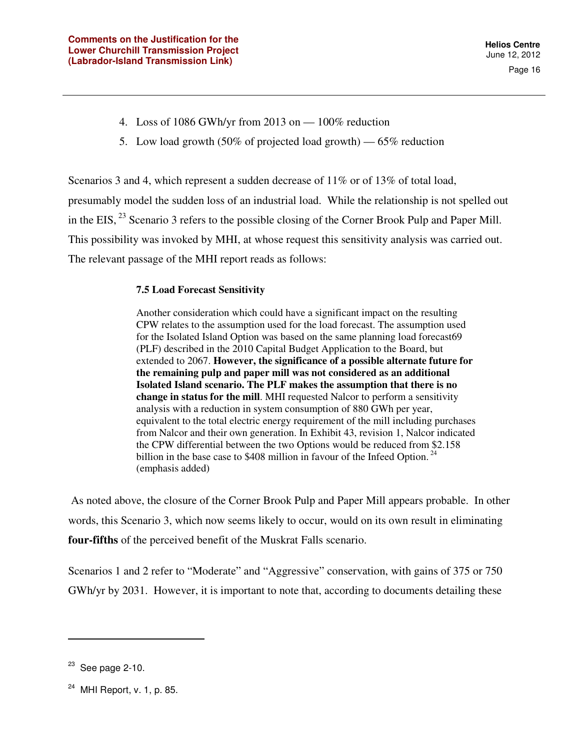- 4. Loss of 1086 GWh/yr from 2013 on 100% reduction
- 5. Low load growth (50% of projected load growth) 65% reduction

Scenarios 3 and 4, which represent a sudden decrease of 11% or of 13% of total load, presumably model the sudden loss of an industrial load. While the relationship is not spelled out in the EIS,  $^{23}$  Scenario 3 refers to the possible closing of the Corner Brook Pulp and Paper Mill. This possibility was invoked by MHI, at whose request this sensitivity analysis was carried out. The relevant passage of the MHI report reads as follows:

#### **7.5 Load Forecast Sensitivity**

Another consideration which could have a significant impact on the resulting CPW relates to the assumption used for the load forecast. The assumption used for the Isolated Island Option was based on the same planning load forecast69 (PLF) described in the 2010 Capital Budget Application to the Board, but extended to 2067. **However, the significance of a possible alternate future for the remaining pulp and paper mill was not considered as an additional Isolated Island scenario. The PLF makes the assumption that there is no change in status for the mill**. MHI requested Nalcor to perform a sensitivity analysis with a reduction in system consumption of 880 GWh per year, equivalent to the total electric energy requirement of the mill including purchases from Nalcor and their own generation. In Exhibit 43, revision 1, Nalcor indicated the CPW differential between the two Options would be reduced from \$2.158 billion in the base case to \$408 million in favour of the Infeed Option.<sup>24</sup> (emphasis added)

 As noted above, the closure of the Corner Brook Pulp and Paper Mill appears probable. In other words, this Scenario 3, which now seems likely to occur, would on its own result in eliminating **four-fifths** of the perceived benefit of the Muskrat Falls scenario.

Scenarios 1 and 2 refer to "Moderate" and "Aggressive" conservation, with gains of 375 or 750 GWh/yr by 2031. However, it is important to note that, according to documents detailing these

 $23$  See page 2-10.

 $24$  MHI Report, v. 1, p. 85.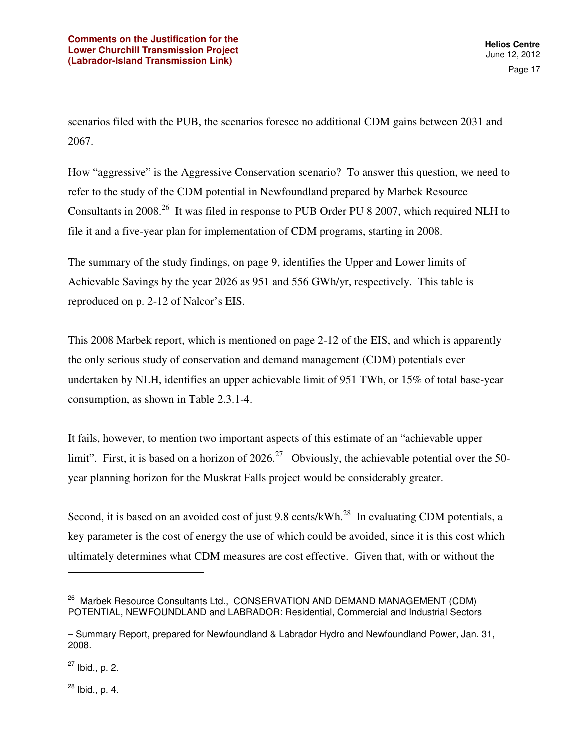scenarios filed with the PUB, the scenarios foresee no additional CDM gains between 2031 and 2067.

How "aggressive" is the Aggressive Conservation scenario? To answer this question, we need to refer to the study of the CDM potential in Newfoundland prepared by Marbek Resource Consultants in 2008<sup>26</sup> It was filed in response to PUB Order PU 8 2007, which required NLH to file it and a five-year plan for implementation of CDM programs, starting in 2008.

The summary of the study findings, on page 9, identifies the Upper and Lower limits of Achievable Savings by the year 2026 as 951 and 556 GWh/yr, respectively. This table is reproduced on p. 2-12 of Nalcor's EIS.

This 2008 Marbek report, which is mentioned on page 2-12 of the EIS, and which is apparently the only serious study of conservation and demand management (CDM) potentials ever undertaken by NLH, identifies an upper achievable limit of 951 TWh, or 15% of total base-year consumption, as shown in Table 2.3.1-4.

It fails, however, to mention two important aspects of this estimate of an "achievable upper limit". First, it is based on a horizon of 2026.<sup>27</sup> Obviously, the achievable potential over the 50year planning horizon for the Muskrat Falls project would be considerably greater.

Second, it is based on an avoided cost of just 9.8 cents/kWh.<sup>28</sup> In evaluating CDM potentials, a key parameter is the cost of energy the use of which could be avoided, since it is this cost which ultimately determines what CDM measures are cost effective. Given that, with or without the

 $\overline{a}$ 

 $28$  Ibid., p. 4.

<sup>&</sup>lt;sup>26</sup> Marbek Resource Consultants Ltd., CONSERVATION AND DEMAND MANAGEMENT (CDM) POTENTIAL, NEWFOUNDLAND and LABRADOR: Residential, Commercial and Industrial Sectors

<sup>–</sup> Summary Report, prepared for Newfoundland & Labrador Hydro and Newfoundland Power, Jan. 31, 2008.

 $27$  Ibid., p. 2.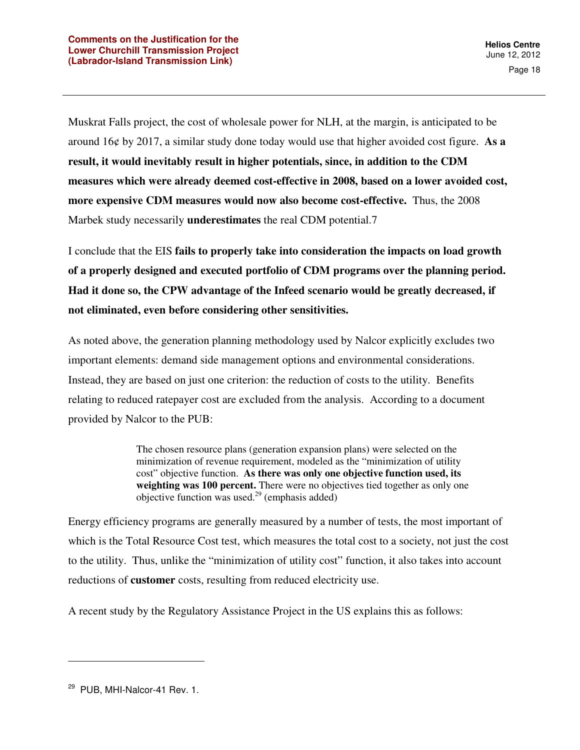Muskrat Falls project, the cost of wholesale power for NLH, at the margin, is anticipated to be around 16¢ by 2017, a similar study done today would use that higher avoided cost figure. **As a result, it would inevitably result in higher potentials, since, in addition to the CDM measures which were already deemed cost-effective in 2008, based on a lower avoided cost, more expensive CDM measures would now also become cost-effective.** Thus, the 2008 Marbek study necessarily **underestimates** the real CDM potential.7

I conclude that the EIS **fails to properly take into consideration the impacts on load growth of a properly designed and executed portfolio of CDM programs over the planning period. Had it done so, the CPW advantage of the Infeed scenario would be greatly decreased, if not eliminated, even before considering other sensitivities.** 

As noted above, the generation planning methodology used by Nalcor explicitly excludes two important elements: demand side management options and environmental considerations. Instead, they are based on just one criterion: the reduction of costs to the utility. Benefits relating to reduced ratepayer cost are excluded from the analysis. According to a document provided by Nalcor to the PUB:

> The chosen resource plans (generation expansion plans) were selected on the minimization of revenue requirement, modeled as the "minimization of utility cost" objective function. **As there was only one objective function used, its**  weighting was 100 percent. There were no objectives tied together as only one objective function was used.<sup>29</sup> (emphasis added)

Energy efficiency programs are generally measured by a number of tests, the most important of which is the Total Resource Cost test, which measures the total cost to a society, not just the cost to the utility. Thus, unlike the "minimization of utility cost" function, it also takes into account reductions of **customer** costs, resulting from reduced electricity use.

A recent study by the Regulatory Assistance Project in the US explains this as follows:

<sup>&</sup>lt;sup>29</sup> PUB, MHI-Nalcor-41 Rev. 1.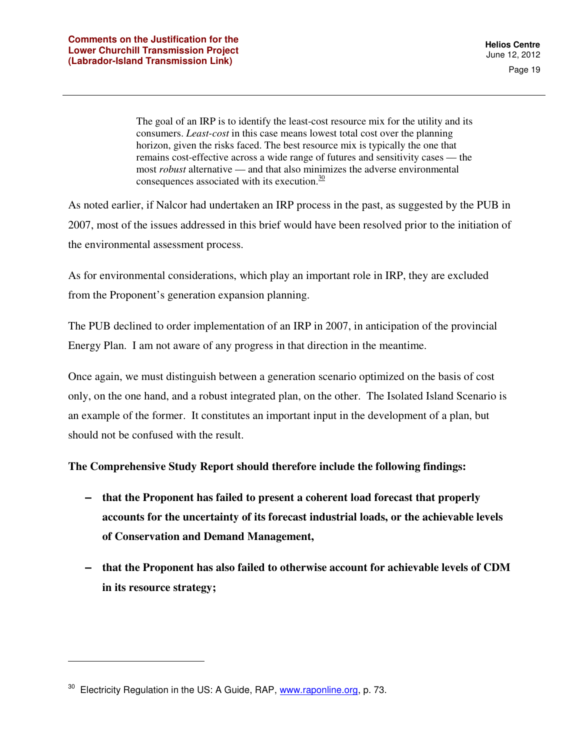The goal of an IRP is to identify the least-cost resource mix for the utility and its consumers. *Least-cost* in this case means lowest total cost over the planning horizon, given the risks faced. The best resource mix is typically the one that remains cost-effective across a wide range of futures and sensitivity cases — the most *robust* alternative — and that also minimizes the adverse environmental consequences associated with its execution. $\frac{30}{20}$ 

As noted earlier, if Nalcor had undertaken an IRP process in the past, as suggested by the PUB in 2007, most of the issues addressed in this brief would have been resolved prior to the initiation of the environmental assessment process.

As for environmental considerations, which play an important role in IRP, they are excluded from the Proponent's generation expansion planning.

The PUB declined to order implementation of an IRP in 2007, in anticipation of the provincial Energy Plan. I am not aware of any progress in that direction in the meantime.

Once again, we must distinguish between a generation scenario optimized on the basis of cost only, on the one hand, and a robust integrated plan, on the other. The Isolated Island Scenario is an example of the former. It constitutes an important input in the development of a plan, but should not be confused with the result.

#### **The Comprehensive Study Report should therefore include the following findings:**

- **that the Proponent has failed to present a coherent load forecast that properly accounts for the uncertainty of its forecast industrial loads, or the achievable levels of Conservation and Demand Management,**
- **that the Proponent has also failed to otherwise account for achievable levels of CDM in its resource strategy;**

 $30$  Electricity Regulation in the US: A Guide, RAP, www.raponline.org, p. 73.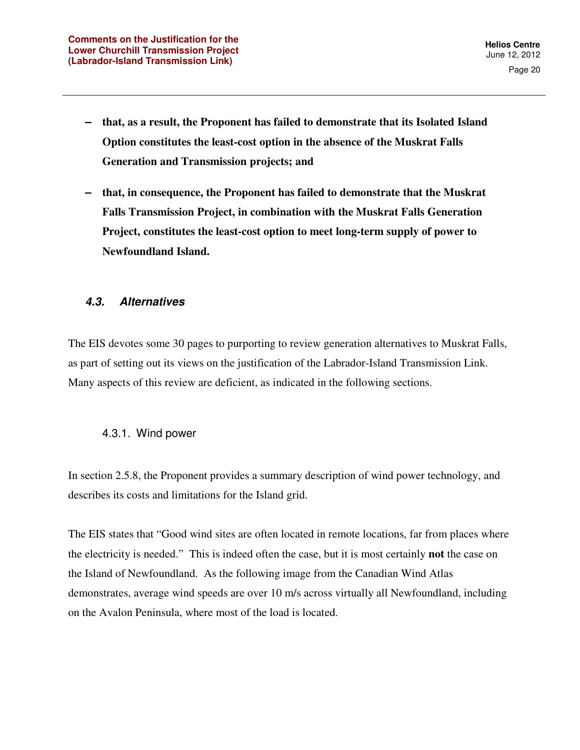- **that, as a result, the Proponent has failed to demonstrate that its Isolated Island Option constitutes the least-cost option in the absence of the Muskrat Falls Generation and Transmission projects; and**
- **that, in consequence, the Proponent has failed to demonstrate that the Muskrat Falls Transmission Project, in combination with the Muskrat Falls Generation Project, constitutes the least-cost option to meet long-term supply of power to Newfoundland Island.**

#### **4.3. Alternatives**

The EIS devotes some 30 pages to purporting to review generation alternatives to Muskrat Falls, as part of setting out its views on the justification of the Labrador-Island Transmission Link. Many aspects of this review are deficient, as indicated in the following sections.

#### 4.3.1. Wind power

In section 2.5.8, the Proponent provides a summary description of wind power technology, and describes its costs and limitations for the Island grid.

The EIS states that "Good wind sites are often located in remote locations, far from places where the electricity is needed." This is indeed often the case, but it is most certainly **not** the case on the Island of Newfoundland. As the following image from the Canadian Wind Atlas demonstrates, average wind speeds are over 10 m/s across virtually all Newfoundland, including on the Avalon Peninsula, where most of the load is located.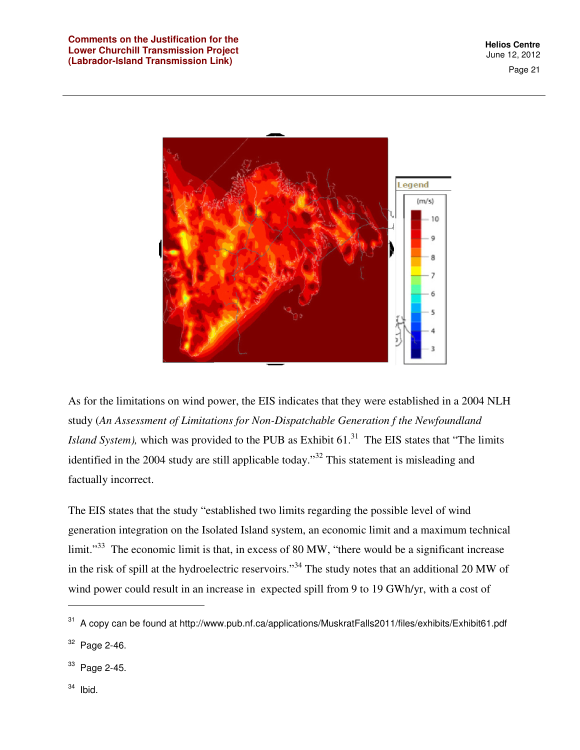Page 21



As for the limitations on wind power, the EIS indicates that they were established in a 2004 NLH study (*An Assessment of Limitations for Non-Dispatchable Generation f the Newfoundland Island System)*, which was provided to the PUB as Exhibit 61.<sup>31</sup> The EIS states that "The limits identified in the 2004 study are still applicable today.<sup>33</sup> This statement is misleading and factually incorrect.

The EIS states that the study "established two limits regarding the possible level of wind generation integration on the Isolated Island system, an economic limit and a maximum technical limit."<sup>33</sup> The economic limit is that, in excess of 80 MW, "there would be a significant increase in the risk of spill at the hydroelectric reservoirs."<sup>34</sup> The study notes that an additional 20 MW of wind power could result in an increase in expected spill from 9 to 19 GWh/yr, with a cost of

<sup>33</sup> Page 2-45.

 $34$  Ibid.

l

<sup>&</sup>lt;sup>31</sup> A copy can be found at http://www.pub.nf.ca/applications/MuskratFalls2011/files/exhibits/Exhibit61.pdf  $32$  Page 2-46.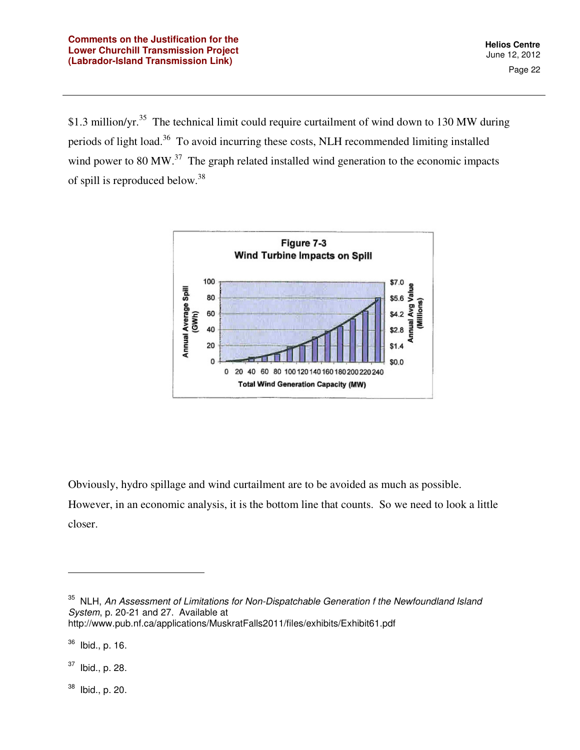\$1.3 million/yr.<sup>35</sup> The technical limit could require curtailment of wind down to 130 MW during periods of light load.<sup>36</sup> To avoid incurring these costs, NLH recommended limiting installed wind power to 80 MW.<sup>37</sup> The graph related installed wind generation to the economic impacts of spill is reproduced below.<sup>38</sup>



Obviously, hydro spillage and wind curtailment are to be avoided as much as possible.

However, in an economic analysis, it is the bottom line that counts. So we need to look a little closer.

 $37$  Ibid., p. 28.

 $\overline{a}$ 

 $38$  Ibid., p. 20.

 $35$  NLH, An Assessment of Limitations for Non-Dispatchable Generation f the Newfoundland Island System, p. 20-21 and 27. Available at http://www.pub.nf.ca/applications/MuskratFalls2011/files/exhibits/Exhibit61.pdf

<sup>36</sup> Ibid., p. 16.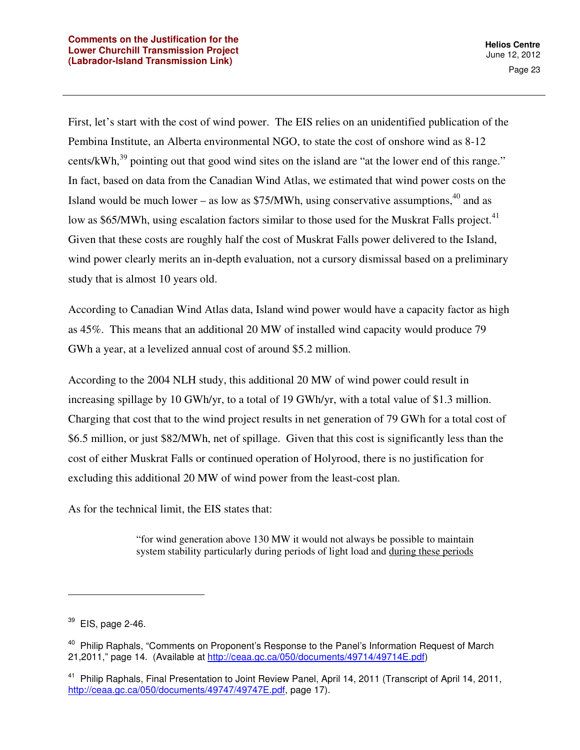First, let's start with the cost of wind power. The EIS relies on an unidentified publication of the Pembina Institute, an Alberta environmental NGO, to state the cost of onshore wind as 8-12 cents/kWh, $^{39}$  pointing out that good wind sites on the island are "at the lower end of this range." In fact, based on data from the Canadian Wind Atlas, we estimated that wind power costs on the Island would be much lower – as low as  $$75/MWh$ , using conservative assumptions,<sup>40</sup> and as low as \$65/MWh, using escalation factors similar to those used for the Muskrat Falls project.<sup>41</sup> Given that these costs are roughly half the cost of Muskrat Falls power delivered to the Island, wind power clearly merits an in-depth evaluation, not a cursory dismissal based on a preliminary study that is almost 10 years old.

According to Canadian Wind Atlas data, Island wind power would have a capacity factor as high as 45%. This means that an additional 20 MW of installed wind capacity would produce 79 GWh a year, at a levelized annual cost of around \$5.2 million.

According to the 2004 NLH study, this additional 20 MW of wind power could result in increasing spillage by 10 GWh/yr, to a total of 19 GWh/yr, with a total value of \$1.3 million. Charging that cost that to the wind project results in net generation of 79 GWh for a total cost of \$6.5 million, or just \$82/MWh, net of spillage. Given that this cost is significantly less than the cost of either Muskrat Falls or continued operation of Holyrood, there is no justification for excluding this additional 20 MW of wind power from the least-cost plan.

As for the technical limit, the EIS states that:

"for wind generation above 130 MW it would not always be possible to maintain system stability particularly during periods of light load and during these periods

 $39$  EIS, page 2-46.

<sup>&</sup>lt;sup>40</sup> Philip Raphals, "Comments on Proponent's Response to the Panel's Information Request of March 21,2011," page 14. (Available at http://ceaa.gc.ca/050/documents/49714/49714E.pdf)

<sup>&</sup>lt;sup>41</sup> Philip Raphals, Final Presentation to Joint Review Panel, April 14, 2011 (Transcript of April 14, 2011, http://ceaa.gc.ca/050/documents/49747/49747E.pdf, page 17).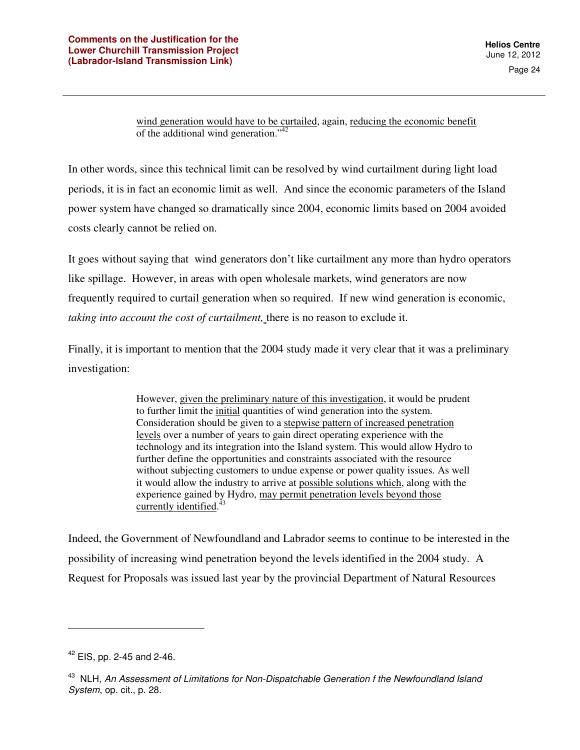wind generation would have to be curtailed, again, reducing the economic benefit of the additional wind generation."<sup>42</sup>

In other words, since this technical limit can be resolved by wind curtailment during light load periods, it is in fact an economic limit as well. And since the economic parameters of the Island power system have changed so dramatically since 2004, economic limits based on 2004 avoided costs clearly cannot be relied on.

It goes without saying that wind generators don't like curtailment any more than hydro operators like spillage. However, in areas with open wholesale markets, wind generators are now frequently required to curtail generation when so required. If new wind generation is economic, *taking into account the cost of curtailment,* there is no reason to exclude it.

Finally, it is important to mention that the 2004 study made it very clear that it was a preliminary investigation:

> However, given the preliminary nature of this investigation, it would be prudent to further limit the initial quantities of wind generation into the system. Consideration should be given to a stepwise pattern of increased penetration levels over a number of years to gain direct operating experience with the technology and its integration into the Island system. This would allow Hydro to further define the opportunities and constraints associated with the resource without subjecting customers to undue expense or power quality issues. As well it would allow the industry to arrive at possible solutions which, along with the experience gained by Hydro, may permit penetration levels beyond those currently identified.<sup>43</sup>

Indeed, the Government of Newfoundland and Labrador seems to continue to be interested in the possibility of increasing wind penetration beyond the levels identified in the 2004 study. A Request for Proposals was issued last year by the provincial Department of Natural Resources

 $42$  EIS, pp. 2-45 and 2-46.

<sup>&</sup>lt;sup>43</sup> NLH, An Assessment of Limitations for Non-Dispatchable Generation f the Newfoundland Island System, op. cit., p. 28.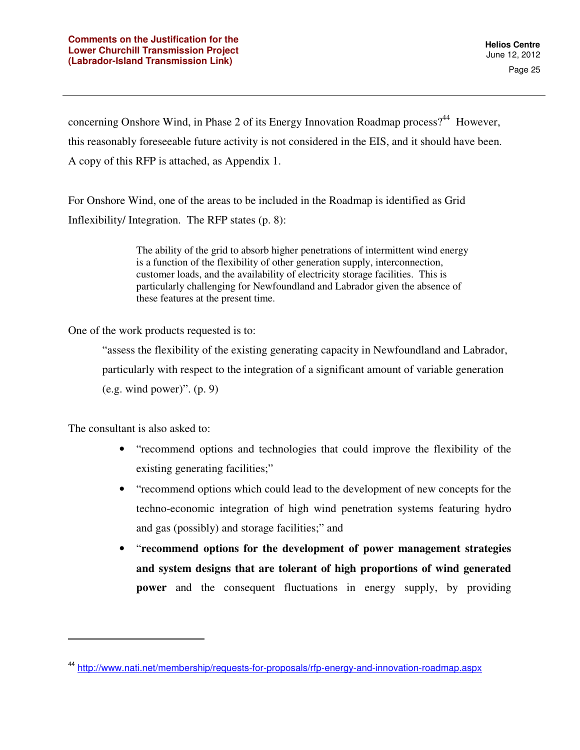concerning Onshore Wind, in Phase 2 of its Energy Innovation Roadmap process?<sup>44</sup> However, this reasonably foreseeable future activity is not considered in the EIS, and it should have been. A copy of this RFP is attached, as Appendix 1.

For Onshore Wind, one of the areas to be included in the Roadmap is identified as Grid Inflexibility/ Integration. The RFP states (p. 8):

> The ability of the grid to absorb higher penetrations of intermittent wind energy is a function of the flexibility of other generation supply, interconnection, customer loads, and the availability of electricity storage facilities. This is particularly challenging for Newfoundland and Labrador given the absence of these features at the present time.

One of the work products requested is to:

"assess the flexibility of the existing generating capacity in Newfoundland and Labrador, particularly with respect to the integration of a significant amount of variable generation  $(e.g. wind power)$ ".  $(p. 9)$ 

The consultant is also asked to:

- "recommend options and technologies that could improve the flexibility of the existing generating facilities;"
- "recommend options which could lead to the development of new concepts for the techno-economic integration of high wind penetration systems featuring hydro and gas (possibly) and storage facilities;" and
- "**recommend options for the development of power management strategies and system designs that are tolerant of high proportions of wind generated power** and the consequent fluctuations in energy supply, by providing

<sup>44</sup> http://www.nati.net/membership/requests-for-proposals/rfp-energy-and-innovation-roadmap.aspx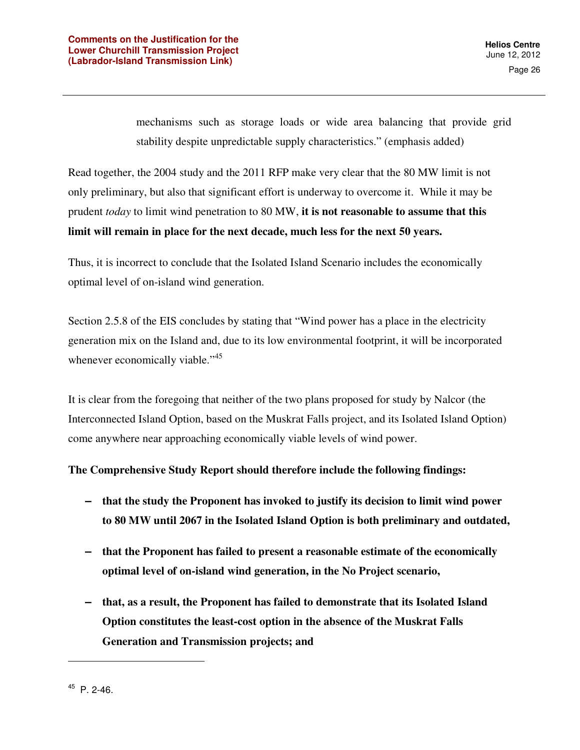mechanisms such as storage loads or wide area balancing that provide grid stability despite unpredictable supply characteristics." (emphasis added)

Read together, the 2004 study and the 2011 RFP make very clear that the 80 MW limit is not only preliminary, but also that significant effort is underway to overcome it. While it may be prudent *today* to limit wind penetration to 80 MW, **it is not reasonable to assume that this limit will remain in place for the next decade, much less for the next 50 years.**

Thus, it is incorrect to conclude that the Isolated Island Scenario includes the economically optimal level of on-island wind generation.

Section 2.5.8 of the EIS concludes by stating that "Wind power has a place in the electricity generation mix on the Island and, due to its low environmental footprint, it will be incorporated whenever economically viable."<sup>45</sup>

It is clear from the foregoing that neither of the two plans proposed for study by Nalcor (the Interconnected Island Option, based on the Muskrat Falls project, and its Isolated Island Option) come anywhere near approaching economically viable levels of wind power.

#### **The Comprehensive Study Report should therefore include the following findings:**

- **that the study the Proponent has invoked to justify its decision to limit wind power to 80 MW until 2067 in the Isolated Island Option is both preliminary and outdated,**
- **that the Proponent has failed to present a reasonable estimate of the economically optimal level of on-island wind generation, in the No Project scenario,**
- **that, as a result, the Proponent has failed to demonstrate that its Isolated Island Option constitutes the least-cost option in the absence of the Muskrat Falls Generation and Transmission projects; and**

<sup>45</sup> P. 2-46.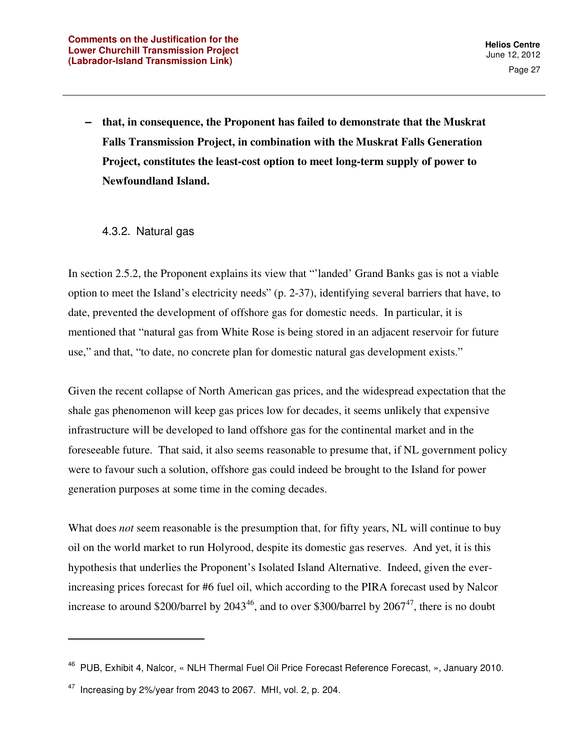**– that, in consequence, the Proponent has failed to demonstrate that the Muskrat Falls Transmission Project, in combination with the Muskrat Falls Generation Project, constitutes the least-cost option to meet long-term supply of power to Newfoundland Island.** 

#### 4.3.2. Natural gas

In section 2.5.2, the Proponent explains its view that "'landed' Grand Banks gas is not a viable option to meet the Island's electricity needs" (p. 2-37), identifying several barriers that have, to date, prevented the development of offshore gas for domestic needs. In particular, it is mentioned that "natural gas from White Rose is being stored in an adjacent reservoir for future use," and that, "to date, no concrete plan for domestic natural gas development exists."

Given the recent collapse of North American gas prices, and the widespread expectation that the shale gas phenomenon will keep gas prices low for decades, it seems unlikely that expensive infrastructure will be developed to land offshore gas for the continental market and in the foreseeable future. That said, it also seems reasonable to presume that, if NL government policy were to favour such a solution, offshore gas could indeed be brought to the Island for power generation purposes at some time in the coming decades.

What does *not* seem reasonable is the presumption that, for fifty years, NL will continue to buy oil on the world market to run Holyrood, despite its domestic gas reserves. And yet, it is this hypothesis that underlies the Proponent's Isolated Island Alternative. Indeed, given the everincreasing prices forecast for #6 fuel oil, which according to the PIRA forecast used by Nalcor increase to around \$200/barrel by  $2043^{46}$ , and to over \$300/barrel by  $2067^{47}$ , there is no doubt

<sup>46</sup> PUB, Exhibit 4, Nalcor, « NLH Thermal Fuel Oil Price Forecast Reference Forecast, », January 2010.

 $47$  Increasing by 2%/year from 2043 to 2067. MHI, vol. 2, p. 204.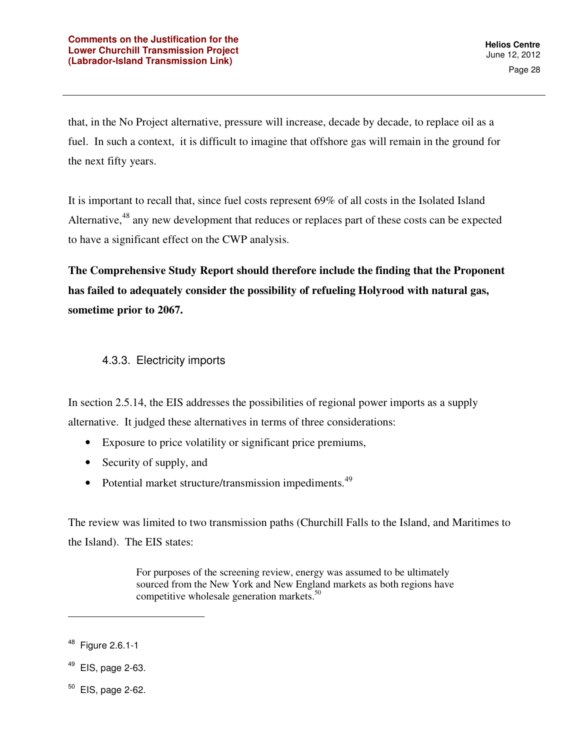that, in the No Project alternative, pressure will increase, decade by decade, to replace oil as a fuel. In such a context, it is difficult to imagine that offshore gas will remain in the ground for the next fifty years.

It is important to recall that, since fuel costs represent 69% of all costs in the Isolated Island Alternative,<sup>48</sup> any new development that reduces or replaces part of these costs can be expected to have a significant effect on the CWP analysis.

**The Comprehensive Study Report should therefore include the finding that the Proponent has failed to adequately consider the possibility of refueling Holyrood with natural gas, sometime prior to 2067.** 

### 4.3.3. Electricity imports

In section 2.5.14, the EIS addresses the possibilities of regional power imports as a supply alternative. It judged these alternatives in terms of three considerations:

- Exposure to price volatility or significant price premiums,
- Security of supply, and
- Potential market structure/transmission impediments.<sup>49</sup>

The review was limited to two transmission paths (Churchill Falls to the Island, and Maritimes to the Island). The EIS states:

> For purposes of the screening review, energy was assumed to be ultimately sourced from the New York and New England markets as both regions have competitive wholesale generation markets.<sup>50</sup>

- $49$  EIS, page 2-63.
- $50$  EIS, page 2-62.

<sup>48</sup> Figure 2.6.1-1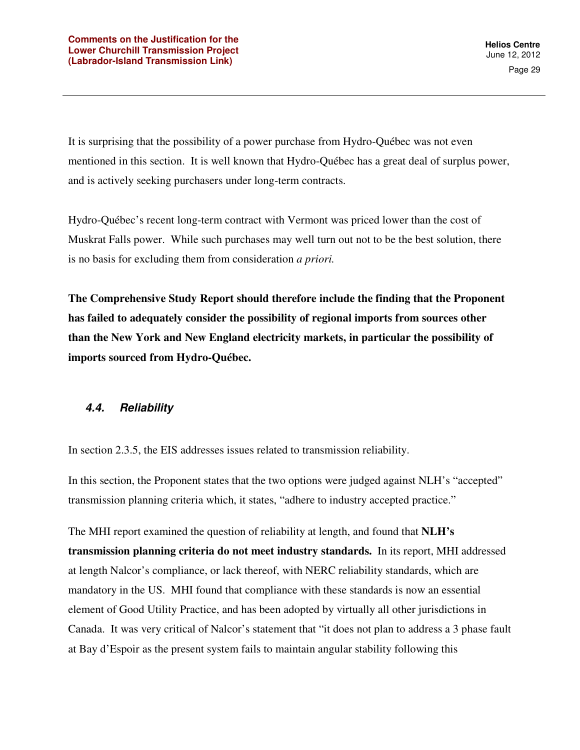It is surprising that the possibility of a power purchase from Hydro-Québec was not even mentioned in this section. It is well known that Hydro-Québec has a great deal of surplus power, and is actively seeking purchasers under long-term contracts.

Hydro-Québec's recent long-term contract with Vermont was priced lower than the cost of Muskrat Falls power. While such purchases may well turn out not to be the best solution, there is no basis for excluding them from consideration *a priori.* 

**The Comprehensive Study Report should therefore include the finding that the Proponent has failed to adequately consider the possibility of regional imports from sources other than the New York and New England electricity markets, in particular the possibility of imports sourced from Hydro-Québec.** 

#### **4.4. Reliability**

In section 2.3.5, the EIS addresses issues related to transmission reliability.

In this section, the Proponent states that the two options were judged against NLH's "accepted" transmission planning criteria which, it states, "adhere to industry accepted practice."

The MHI report examined the question of reliability at length, and found that **NLH's transmission planning criteria do not meet industry standards.** In its report, MHI addressed at length Nalcor's compliance, or lack thereof, with NERC reliability standards, which are mandatory in the US. MHI found that compliance with these standards is now an essential element of Good Utility Practice, and has been adopted by virtually all other jurisdictions in Canada. It was very critical of Nalcor's statement that "it does not plan to address a 3 phase fault at Bay d'Espoir as the present system fails to maintain angular stability following this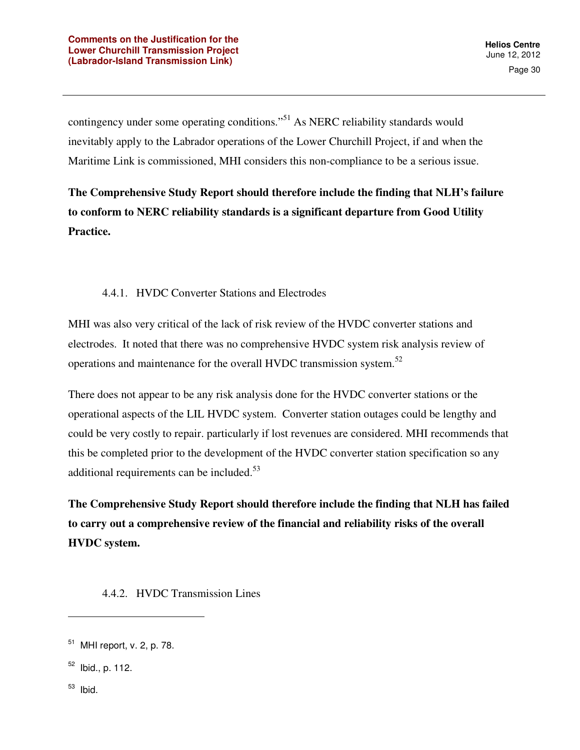contingency under some operating conditions."<sup>51</sup> As NERC reliability standards would inevitably apply to the Labrador operations of the Lower Churchill Project, if and when the Maritime Link is commissioned, MHI considers this non-compliance to be a serious issue.

**The Comprehensive Study Report should therefore include the finding that NLH's failure to conform to NERC reliability standards is a significant departure from Good Utility Practice.** 

#### 4.4.1. HVDC Converter Stations and Electrodes

MHI was also very critical of the lack of risk review of the HVDC converter stations and electrodes. It noted that there was no comprehensive HVDC system risk analysis review of operations and maintenance for the overall HVDC transmission system.<sup>52</sup>

There does not appear to be any risk analysis done for the HVDC converter stations or the operational aspects of the LIL HVDC system. Converter station outages could be lengthy and could be very costly to repair. particularly if lost revenues are considered. MHI recommends that this be completed prior to the development of the HVDC converter station specification so any additional requirements can be included.<sup>53</sup>

**The Comprehensive Study Report should therefore include the finding that NLH has failed to carry out a comprehensive review of the financial and reliability risks of the overall HVDC system.** 

4.4.2. HVDC Transmission Lines

<sup>53</sup> Ibid.

<sup>51</sup> MHI report, v. 2, p. 78.

 $52$  Ibid., p. 112.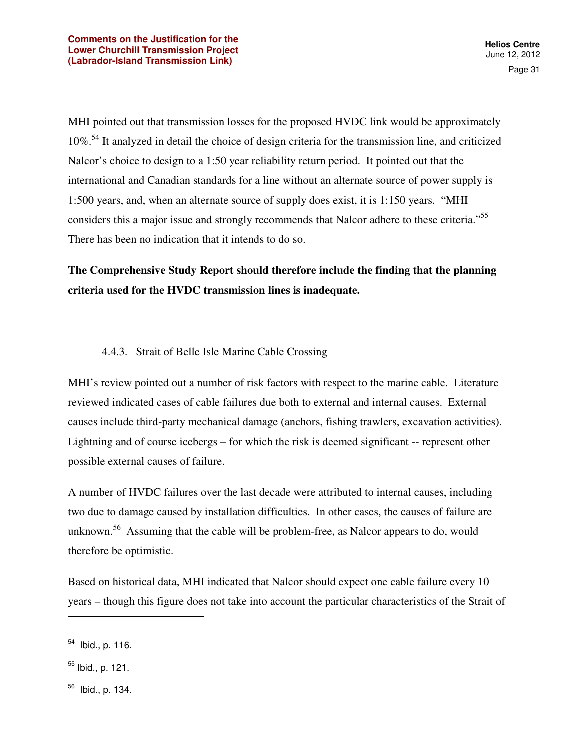MHI pointed out that transmission losses for the proposed HVDC link would be approximately 10%<sup>54</sup> It analyzed in detail the choice of design criteria for the transmission line, and criticized Nalcor's choice to design to a 1:50 year reliability return period. It pointed out that the international and Canadian standards for a line without an alternate source of power supply is 1:500 years, and, when an alternate source of supply does exist, it is 1:150 years. "MHI considers this a major issue and strongly recommends that Nalcor adhere to these criteria."<sup>55</sup> There has been no indication that it intends to do so.

**The Comprehensive Study Report should therefore include the finding that the planning criteria used for the HVDC transmission lines is inadequate.** 

#### 4.4.3. Strait of Belle Isle Marine Cable Crossing

MHI's review pointed out a number of risk factors with respect to the marine cable. Literature reviewed indicated cases of cable failures due both to external and internal causes. External causes include third-party mechanical damage (anchors, fishing trawlers, excavation activities). Lightning and of course icebergs – for which the risk is deemed significant -- represent other possible external causes of failure.

A number of HVDC failures over the last decade were attributed to internal causes, including two due to damage caused by installation difficulties. In other cases, the causes of failure are unknown.<sup>56</sup> Assuming that the cable will be problem-free, as Nalcor appears to do, would therefore be optimistic.

Based on historical data, MHI indicated that Nalcor should expect one cable failure every 10 years – though this figure does not take into account the particular characteristics of the Strait of

<sup>54</sup> Ibid., p. 116.

 $55$  Ibid., p. 121.

<sup>56</sup> Ibid., p. 134.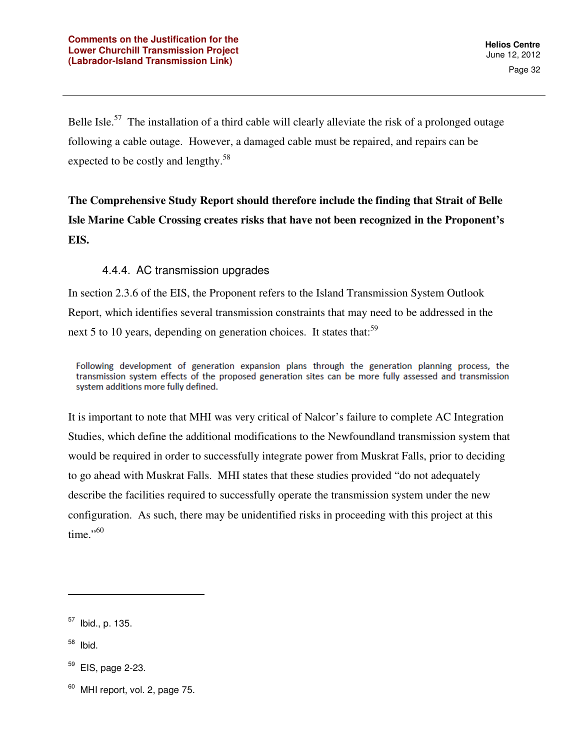Belle Isle.<sup>57</sup> The installation of a third cable will clearly alleviate the risk of a prolonged outage following a cable outage. However, a damaged cable must be repaired, and repairs can be expected to be costly and lengthy.<sup>58</sup>

# **The Comprehensive Study Report should therefore include the finding that Strait of Belle Isle Marine Cable Crossing creates risks that have not been recognized in the Proponent's EIS.**

#### 4.4.4. AC transmission upgrades

In section 2.3.6 of the EIS, the Proponent refers to the Island Transmission System Outlook Report, which identifies several transmission constraints that may need to be addressed in the next 5 to 10 years, depending on generation choices. It states that:<sup>59</sup>

Following development of generation expansion plans through the generation planning process, the transmission system effects of the proposed generation sites can be more fully assessed and transmission system additions more fully defined.

It is important to note that MHI was very critical of Nalcor's failure to complete AC Integration Studies, which define the additional modifications to the Newfoundland transmission system that would be required in order to successfully integrate power from Muskrat Falls, prior to deciding to go ahead with Muskrat Falls. MHI states that these studies provided "do not adequately describe the facilities required to successfully operate the transmission system under the new configuration. As such, there may be unidentified risks in proceeding with this project at this time." $60$ 

 $58$  Ibid.

l

 $57$  Ibid., p. 135.

EIS, page 2-23.

 $60$  MHI report, vol. 2, page 75.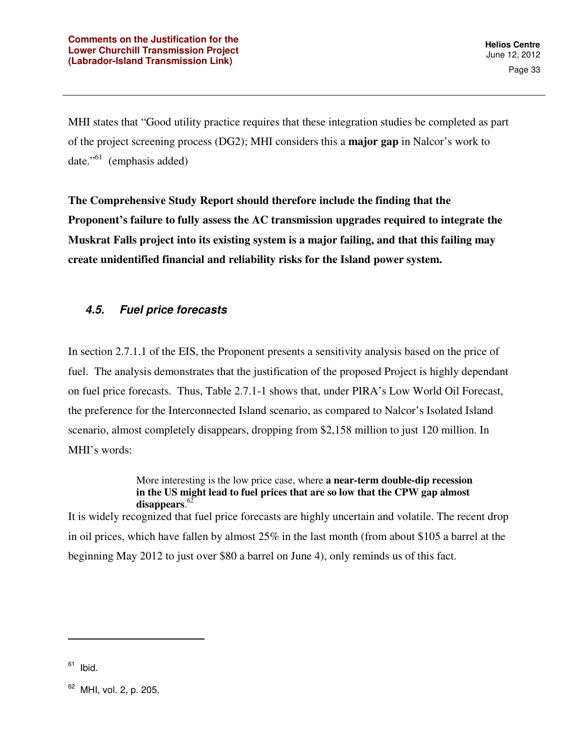MHI states that "Good utility practice requires that these integration studies be completed as part of the project screening process (DG2); MHI considers this a **major gap** in Nalcor's work to date."<sup>61</sup> (emphasis added)

**The Comprehensive Study Report should therefore include the finding that the Proponent's failure to fully assess the AC transmission upgrades required to integrate the Muskrat Falls project into its existing system is a major failing, and that this failing may create unidentified financial and reliability risks for the Island power system.** 

## **4.5. Fuel price forecasts**

In section 2.7.1.1 of the EIS, the Proponent presents a sensitivity analysis based on the price of fuel. The analysis demonstrates that the justification of the proposed Project is highly dependant on fuel price forecasts. Thus, Table 2.7.1-1 shows that, under PIRA's Low World Oil Forecast, the preference for the Interconnected Island scenario, as compared to Nalcor's Isolated Island scenario, almost completely disappears, dropping from \$2,158 million to just 120 million. In MHI's words:

> More interesting is the low price case, where **a near-term double-dip recession in the US might lead to fuel prices that are so low that the CPW gap almost disappears**. 62

It is widely recognized that fuel price forecasts are highly uncertain and volatile. The recent drop in oil prices, which have fallen by almost 25% in the last month (from about \$105 a barrel at the beginning May 2012 to just over \$80 a barrel on June 4), only reminds us of this fact.

 $61$  Ibid.

<sup>&</sup>lt;sup>62</sup> MHI, vol. 2, p. 205.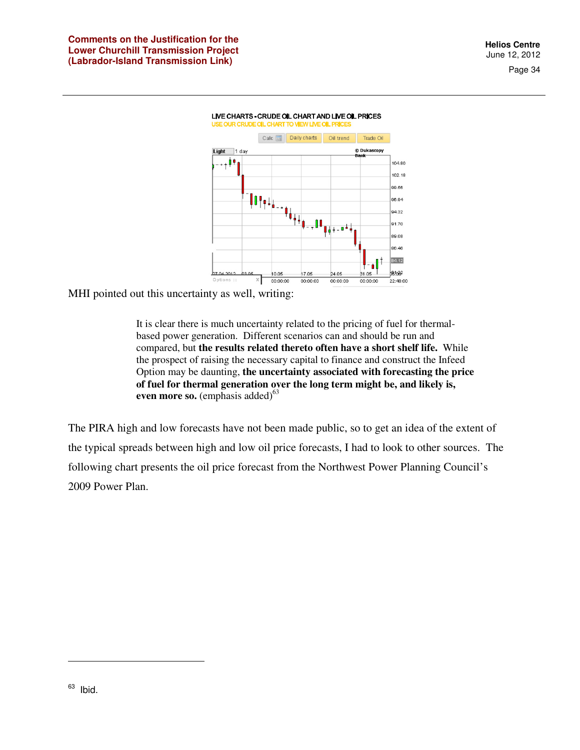



MHI pointed out this uncertainty as well, writing:

It is clear there is much uncertainty related to the pricing of fuel for thermalbased power generation. Different scenarios can and should be run and compared, but **the results related thereto often have a short shelf life.** While the prospect of raising the necessary capital to finance and construct the Infeed Option may be daunting, **the uncertainty associated with forecasting the price of fuel for thermal generation over the long term might be, and likely is, even more so.** (emphasis added)<sup>63</sup>

The PIRA high and low forecasts have not been made public, so to get an idea of the extent of the typical spreads between high and low oil price forecasts, I had to look to other sources. The following chart presents the oil price forecast from the Northwest Power Planning Council's 2009 Power Plan.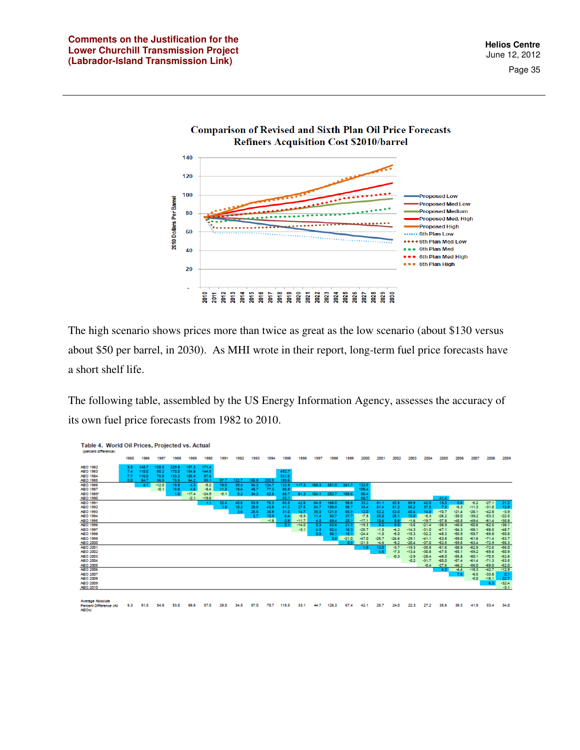2010 Dollars Per Barrel

Page 35



The high scenario shows prices more than twice as great as the low scenario (about \$130 versus about \$50 per barrel, in 2030). As MHI wrote in their report, long-term fuel price forecasts have a short shelf life.

The following table, assembled by the US Energy Information Agency, assesses the accuracy of its own fuel price forecasts from 1982 to 2010.



91.5 41.9 53.4 34.0 54.8 93.0 57.5 28.0 34.5 57.0 70.7 115.5 33.1 126.3 24.0 22.3 27.2 35.6 39.3 Percent Difference (All<br>AEOs)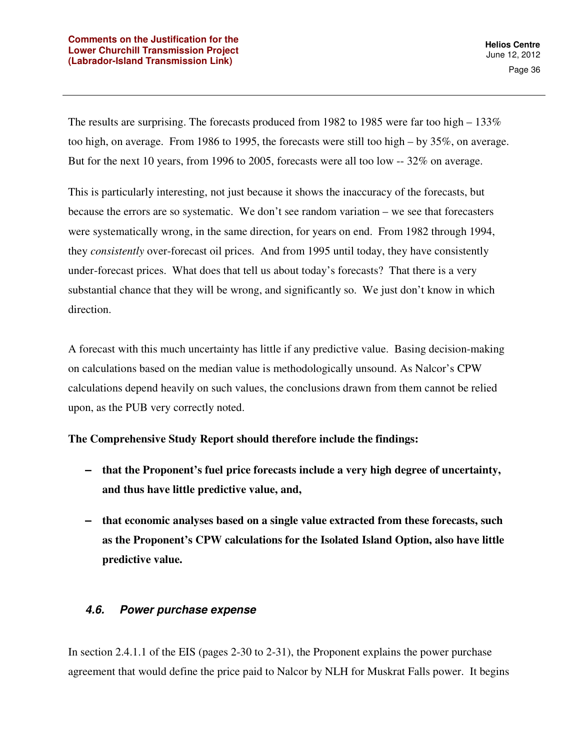The results are surprising. The forecasts produced from 1982 to 1985 were far too high  $-133\%$ too high, on average. From 1986 to 1995, the forecasts were still too high – by 35%, on average. But for the next 10 years, from 1996 to 2005, forecasts were all too low -- 32% on average.

This is particularly interesting, not just because it shows the inaccuracy of the forecasts, but because the errors are so systematic. We don't see random variation – we see that forecasters were systematically wrong, in the same direction, for years on end. From 1982 through 1994, they *consistently* over-forecast oil prices. And from 1995 until today, they have consistently under-forecast prices. What does that tell us about today's forecasts? That there is a very substantial chance that they will be wrong, and significantly so. We just don't know in which direction.

A forecast with this much uncertainty has little if any predictive value. Basing decision-making on calculations based on the median value is methodologically unsound. As Nalcor's CPW calculations depend heavily on such values, the conclusions drawn from them cannot be relied upon, as the PUB very correctly noted.

#### **The Comprehensive Study Report should therefore include the findings:**

- **that the Proponent's fuel price forecasts include a very high degree of uncertainty, and thus have little predictive value, and,**
- **that economic analyses based on a single value extracted from these forecasts, such as the Proponent's CPW calculations for the Isolated Island Option, also have little predictive value.**

#### **4.6. Power purchase expense**

In section 2.4.1.1 of the EIS (pages 2-30 to 2-31), the Proponent explains the power purchase agreement that would define the price paid to Nalcor by NLH for Muskrat Falls power. It begins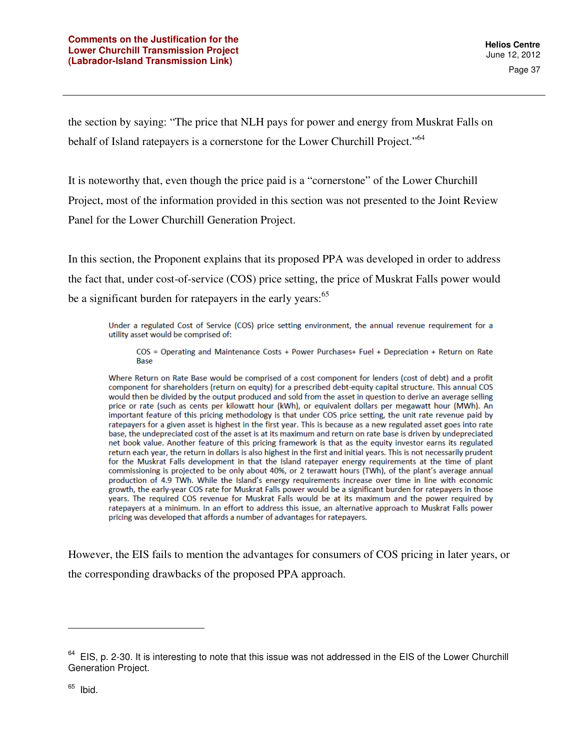the section by saying: "The price that NLH pays for power and energy from Muskrat Falls on behalf of Island ratepayers is a cornerstone for the Lower Churchill Project."<sup>64</sup>

It is noteworthy that, even though the price paid is a "cornerstone" of the Lower Churchill Project, most of the information provided in this section was not presented to the Joint Review Panel for the Lower Churchill Generation Project.

In this section, the Proponent explains that its proposed PPA was developed in order to address the fact that, under cost-of-service (COS) price setting, the price of Muskrat Falls power would be a significant burden for ratepayers in the early years:<sup>65</sup>

Under a regulated Cost of Service (COS) price setting environment, the annual revenue requirement for a utility asset would be comprised of:

COS = Operating and Maintenance Costs + Power Purchases+ Fuel + Depreciation + Return on Rate **Base** 

Where Return on Rate Base would be comprised of a cost component for lenders (cost of debt) and a profit component for shareholders (return on equity) for a prescribed debt-equity capital structure. This annual COS would then be divided by the output produced and sold from the asset in question to derive an average selling price or rate (such as cents per kilowatt hour (kWh), or equivalent dollars per megawatt hour (MWh). An important feature of this pricing methodology is that under COS price setting, the unit rate revenue paid by ratepayers for a given asset is highest in the first year. This is because as a new regulated asset goes into rate base, the undepreciated cost of the asset is at its maximum and return on rate base is driven by undepreciated net book value. Another feature of this pricing framework is that as the equity investor earns its regulated return each year, the return in dollars is also highest in the first and initial years. This is not necessarily prudent for the Muskrat Falls development in that the Island ratepayer energy requirements at the time of plant commissioning is projected to be only about 40%, or 2 terawatt hours (TWh), of the plant's average annual production of 4.9 TWh. While the Island's energy requirements increase over time in line with economic growth, the early-year COS rate for Muskrat Falls power would be a significant burden for ratepayers in those years. The required COS revenue for Muskrat Falls would be at its maximum and the power required by ratepayers at a minimum. In an effort to address this issue, an alternative approach to Muskrat Falls power pricing was developed that affords a number of advantages for ratepayers.

However, the EIS fails to mention the advantages for consumers of COS pricing in later years, or the corresponding drawbacks of the proposed PPA approach.

 $64$  EIS, p. 2-30. It is interesting to note that this issue was not addressed in the EIS of the Lower Churchill Generation Project.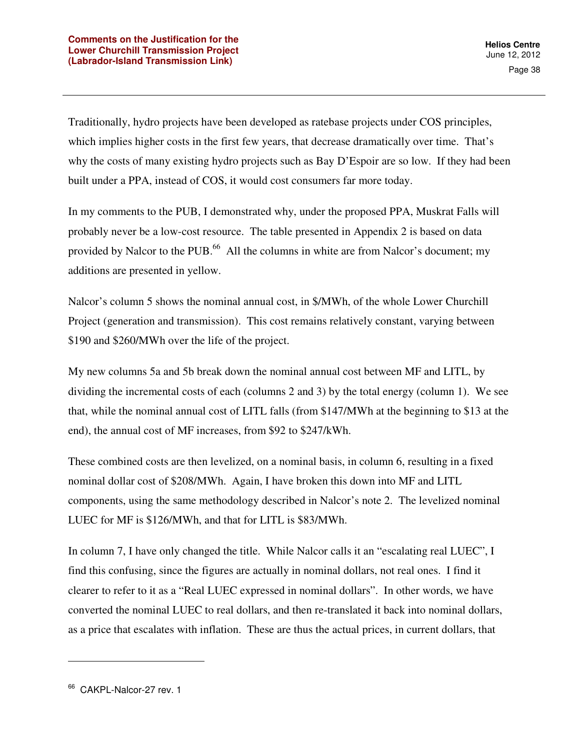Traditionally, hydro projects have been developed as ratebase projects under COS principles, which implies higher costs in the first few years, that decrease dramatically over time. That's why the costs of many existing hydro projects such as Bay D'Espoir are so low. If they had been built under a PPA, instead of COS, it would cost consumers far more today.

In my comments to the PUB, I demonstrated why, under the proposed PPA, Muskrat Falls will probably never be a low-cost resource. The table presented in Appendix 2 is based on data provided by Nalcor to the PUB.<sup>66</sup> All the columns in white are from Nalcor's document; my additions are presented in yellow.

Nalcor's column 5 shows the nominal annual cost, in \$/MWh, of the whole Lower Churchill Project (generation and transmission). This cost remains relatively constant, varying between \$190 and \$260/MWh over the life of the project.

My new columns 5a and 5b break down the nominal annual cost between MF and LITL, by dividing the incremental costs of each (columns 2 and 3) by the total energy (column 1). We see that, while the nominal annual cost of LITL falls (from \$147/MWh at the beginning to \$13 at the end), the annual cost of MF increases, from \$92 to \$247/kWh.

These combined costs are then levelized, on a nominal basis, in column 6, resulting in a fixed nominal dollar cost of \$208/MWh. Again, I have broken this down into MF and LITL components, using the same methodology described in Nalcor's note 2. The levelized nominal LUEC for MF is \$126/MWh, and that for LITL is \$83/MWh.

In column 7, I have only changed the title. While Nalcor calls it an "escalating real LUEC", I find this confusing, since the figures are actually in nominal dollars, not real ones. I find it clearer to refer to it as a "Real LUEC expressed in nominal dollars". In other words, we have converted the nominal LUEC to real dollars, and then re-translated it back into nominal dollars, as a price that escalates with inflation. These are thus the actual prices, in current dollars, that

<sup>&</sup>lt;sup>66</sup> CAKPL-Nalcor-27 rev. 1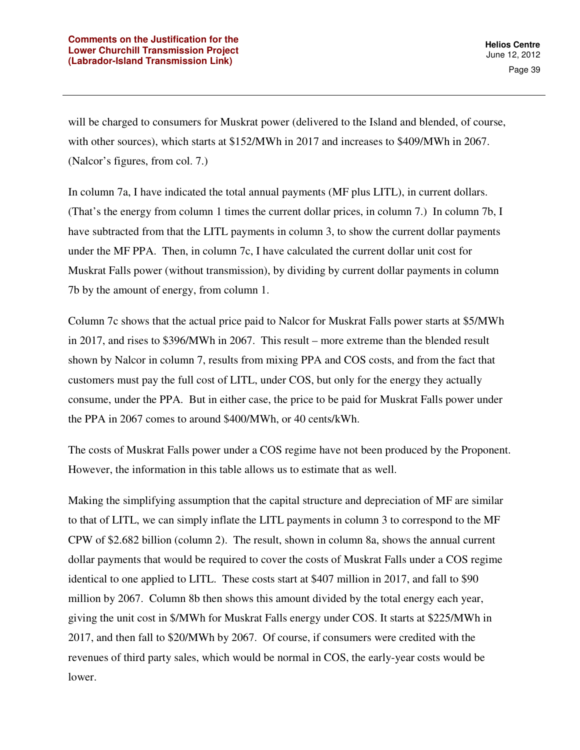will be charged to consumers for Muskrat power (delivered to the Island and blended, of course, with other sources), which starts at \$152/MWh in 2017 and increases to \$409/MWh in 2067. (Nalcor's figures, from col. 7.)

In column 7a, I have indicated the total annual payments (MF plus LITL), in current dollars. (That's the energy from column 1 times the current dollar prices, in column 7.) In column 7b, I have subtracted from that the LITL payments in column 3, to show the current dollar payments under the MF PPA. Then, in column 7c, I have calculated the current dollar unit cost for Muskrat Falls power (without transmission), by dividing by current dollar payments in column 7b by the amount of energy, from column 1.

Column 7c shows that the actual price paid to Nalcor for Muskrat Falls power starts at \$5/MWh in 2017, and rises to \$396/MWh in 2067. This result – more extreme than the blended result shown by Nalcor in column 7, results from mixing PPA and COS costs, and from the fact that customers must pay the full cost of LITL, under COS, but only for the energy they actually consume, under the PPA. But in either case, the price to be paid for Muskrat Falls power under the PPA in 2067 comes to around \$400/MWh, or 40 cents/kWh.

The costs of Muskrat Falls power under a COS regime have not been produced by the Proponent. However, the information in this table allows us to estimate that as well.

Making the simplifying assumption that the capital structure and depreciation of MF are similar to that of LITL, we can simply inflate the LITL payments in column 3 to correspond to the MF CPW of \$2.682 billion (column 2). The result, shown in column 8a, shows the annual current dollar payments that would be required to cover the costs of Muskrat Falls under a COS regime identical to one applied to LITL. These costs start at \$407 million in 2017, and fall to \$90 million by 2067. Column 8b then shows this amount divided by the total energy each year, giving the unit cost in \$/MWh for Muskrat Falls energy under COS. It starts at \$225/MWh in 2017, and then fall to \$20/MWh by 2067. Of course, if consumers were credited with the revenues of third party sales, which would be normal in COS, the early-year costs would be lower.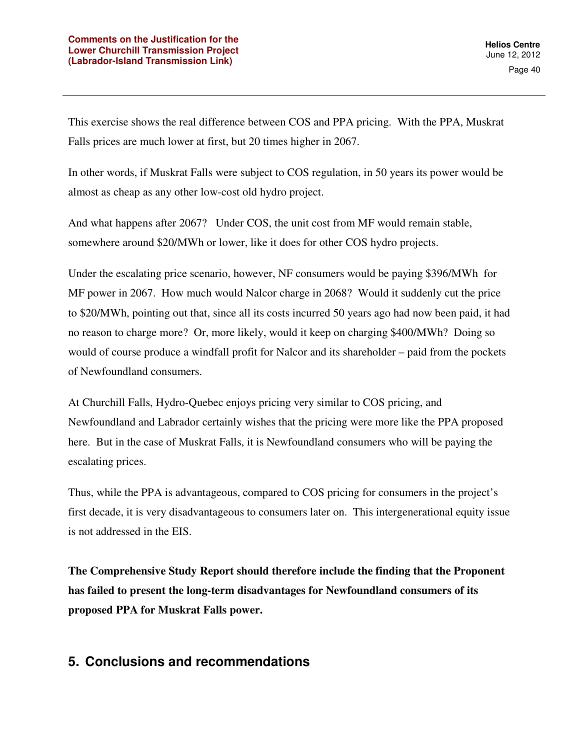This exercise shows the real difference between COS and PPA pricing. With the PPA, Muskrat Falls prices are much lower at first, but 20 times higher in 2067.

In other words, if Muskrat Falls were subject to COS regulation, in 50 years its power would be almost as cheap as any other low-cost old hydro project.

And what happens after 2067? Under COS, the unit cost from MF would remain stable, somewhere around \$20/MWh or lower, like it does for other COS hydro projects.

Under the escalating price scenario, however, NF consumers would be paying \$396/MWh for MF power in 2067. How much would Nalcor charge in 2068? Would it suddenly cut the price to \$20/MWh, pointing out that, since all its costs incurred 50 years ago had now been paid, it had no reason to charge more? Or, more likely, would it keep on charging \$400/MWh? Doing so would of course produce a windfall profit for Nalcor and its shareholder – paid from the pockets of Newfoundland consumers.

At Churchill Falls, Hydro-Quebec enjoys pricing very similar to COS pricing, and Newfoundland and Labrador certainly wishes that the pricing were more like the PPA proposed here. But in the case of Muskrat Falls, it is Newfoundland consumers who will be paying the escalating prices.

Thus, while the PPA is advantageous, compared to COS pricing for consumers in the project's first decade, it is very disadvantageous to consumers later on. This intergenerational equity issue is not addressed in the EIS.

**The Comprehensive Study Report should therefore include the finding that the Proponent has failed to present the long-term disadvantages for Newfoundland consumers of its proposed PPA for Muskrat Falls power.** 

## **5. Conclusions and recommendations**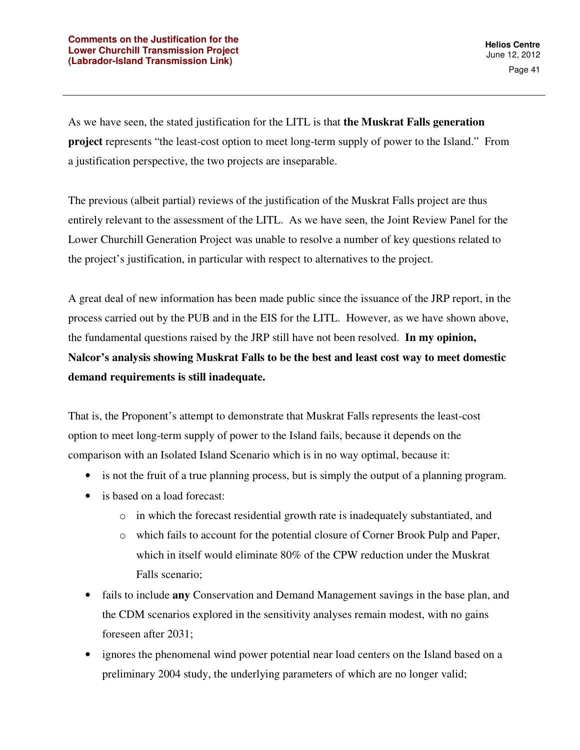As we have seen, the stated justification for the LITL is that **the Muskrat Falls generation project** represents "the least-cost option to meet long-term supply of power to the Island." From a justification perspective, the two projects are inseparable.

The previous (albeit partial) reviews of the justification of the Muskrat Falls project are thus entirely relevant to the assessment of the LITL. As we have seen, the Joint Review Panel for the Lower Churchill Generation Project was unable to resolve a number of key questions related to the project's justification, in particular with respect to alternatives to the project.

A great deal of new information has been made public since the issuance of the JRP report, in the process carried out by the PUB and in the EIS for the LITL. However, as we have shown above, the fundamental questions raised by the JRP still have not been resolved. **In my opinion, Nalcor's analysis showing Muskrat Falls to be the best and least cost way to meet domestic demand requirements is still inadequate.** 

That is, the Proponent's attempt to demonstrate that Muskrat Falls represents the least-cost option to meet long-term supply of power to the Island fails, because it depends on the comparison with an Isolated Island Scenario which is in no way optimal, because it:

- is not the fruit of a true planning process, but is simply the output of a planning program.
- is based on a load forecast:
	- o in which the forecast residential growth rate is inadequately substantiated, and
	- o which fails to account for the potential closure of Corner Brook Pulp and Paper, which in itself would eliminate 80% of the CPW reduction under the Muskrat Falls scenario;
- fails to include **any** Conservation and Demand Management savings in the base plan, and the CDM scenarios explored in the sensitivity analyses remain modest, with no gains foreseen after 2031;
- ignores the phenomenal wind power potential near load centers on the Island based on a preliminary 2004 study, the underlying parameters of which are no longer valid;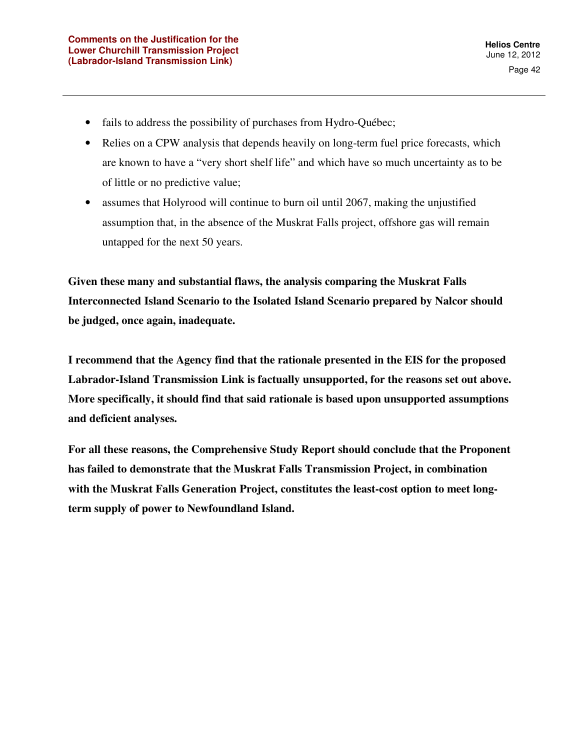- fails to address the possibility of purchases from Hydro-Québec;
- Relies on a CPW analysis that depends heavily on long-term fuel price forecasts, which are known to have a "very short shelf life" and which have so much uncertainty as to be of little or no predictive value;
- assumes that Holyrood will continue to burn oil until 2067, making the unjustified assumption that, in the absence of the Muskrat Falls project, offshore gas will remain untapped for the next 50 years.

**Given these many and substantial flaws, the analysis comparing the Muskrat Falls Interconnected Island Scenario to the Isolated Island Scenario prepared by Nalcor should be judged, once again, inadequate.** 

**I recommend that the Agency find that the rationale presented in the EIS for the proposed Labrador-Island Transmission Link is factually unsupported, for the reasons set out above. More specifically, it should find that said rationale is based upon unsupported assumptions and deficient analyses.** 

**For all these reasons, the Comprehensive Study Report should conclude that the Proponent has failed to demonstrate that the Muskrat Falls Transmission Project, in combination with the Muskrat Falls Generation Project, constitutes the least-cost option to meet longterm supply of power to Newfoundland Island.**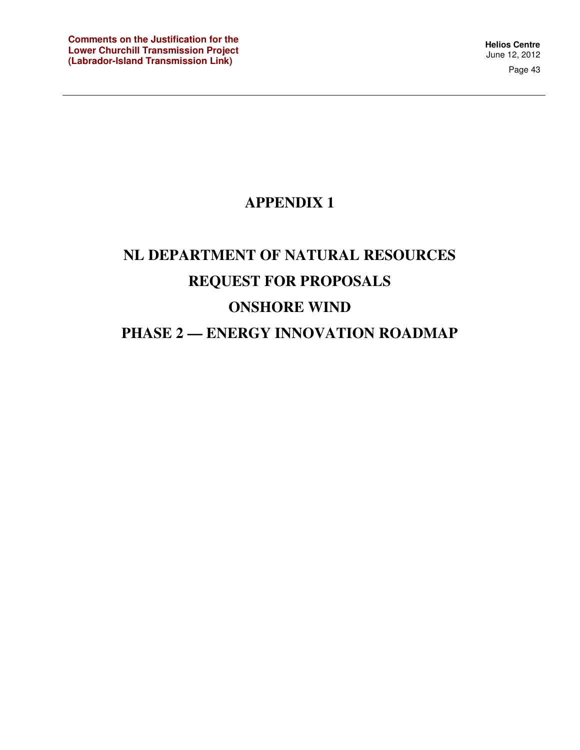# **APPENDIX 1**

# **NL DEPARTMENT OF NATURAL RESOURCES REQUEST FOR PROPOSALS ONSHORE WIND PHASE 2 — ENERGY INNOVATION ROADMAP**